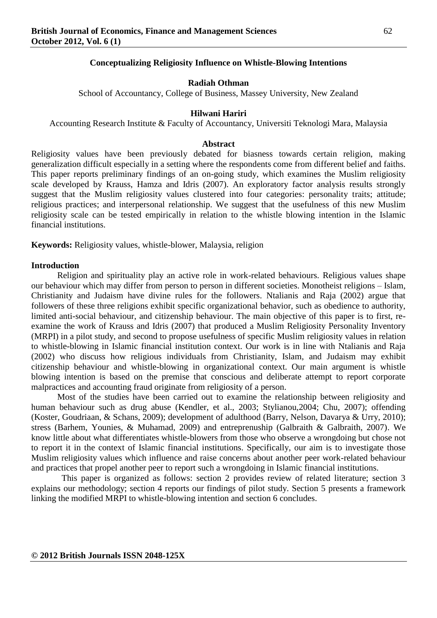#### **Conceptualizing Religiosity Influence on Whistle-Blowing Intentions**

### **Radiah Othman**

School of Accountancy, College of Business, Massey University, New Zealand

#### **Hilwani Hariri**

Accounting Research Institute & Faculty of Accountancy, Universiti Teknologi Mara, Malaysia

#### **Abstract**

Religiosity values have been previously debated for biasness towards certain religion, making generalization difficult especially in a setting where the respondents come from different belief and faiths. This paper reports preliminary findings of an on-going study, which examines the Muslim religiosity scale developed by Krauss, Hamza and Idris (2007). An exploratory factor analysis results strongly suggest that the Muslim religiosity values clustered into four categories: personality traits; attitude; religious practices; and interpersonal relationship. We suggest that the usefulness of this new Muslim religiosity scale can be tested empirically in relation to the whistle blowing intention in the Islamic financial institutions.

**Keywords:** Religiosity values, whistle-blower, Malaysia, religion

#### **Introduction**

Religion and spirituality play an active role in work-related behaviours. Religious values shape our behaviour which may differ from person to person in different societies. Monotheist religions – Islam, Christianity and Judaism have divine rules for the followers. Ntalianis and Raja (2002) argue that followers of these three religions exhibit specific organizational behavior, such as obedience to authority, limited anti-social behaviour, and citizenship behaviour. The main objective of this paper is to first, reexamine the work of Krauss and Idris (2007) that produced a Muslim Religiosity Personality Inventory (MRPI) in a pilot study, and second to propose usefulness of specific Muslim religiosity values in relation to whistle-blowing in Islamic financial institution context. Our work is in line with Ntalianis and Raja (2002) who discuss how religious individuals from Christianity, Islam, and Judaism may exhibit citizenship behaviour and whistle-blowing in organizational context. Our main argument is whistle blowing intention is based on the premise that conscious and deliberate attempt to report corporate malpractices and accounting fraud originate from religiosity of a person.

Most of the studies have been carried out to examine the relationship between religiosity and human behaviour such as drug abuse (Kendler, et al., 2003; Stylianou,2004; Chu, 2007); offending (Koster, Goudriaan, & Schans, 2009); development of adulthood (Barry, Nelson, Davarya & Urry, 2010); stress (Barhem, Younies, & Muhamad, 2009) and entreprenuship (Galbraith & Galbraith, 2007). We know little about what differentiates whistle-blowers from those who observe a wrongdoing but chose not to report it in the context of Islamic financial institutions. Specifically, our aim is to investigate those Muslim religiosity values which influence and raise concerns about another peer work-related behaviour and practices that propel another peer to report such a wrongdoing in Islamic financial institutions.

This paper is organized as follows: section 2 provides review of related literature; section 3 explains our methodology; section 4 reports our findings of pilot study. Section 5 presents a framework linking the modified MRPI to whistle-blowing intention and section 6 concludes.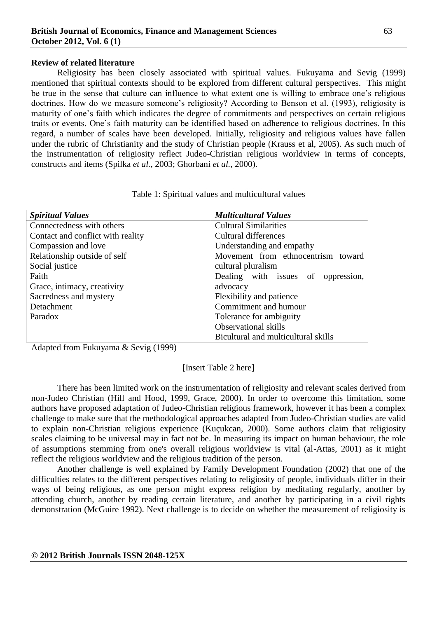### **Review of related literature**

Religiosity has been closely associated with spiritual values. Fukuyama and Sevig (1999) mentioned that spiritual contexts should to be explored from different cultural perspectives. This might be true in the sense that culture can influence to what extent one is willing to embrace one"s religious doctrines. How do we measure someone's religiosity? According to Benson et al. (1993), religiosity is maturity of one"s faith which indicates the degree of commitments and perspectives on certain religious traits or events. One"s faith maturity can be identified based on adherence to religious doctrines. In this regard, a number of scales have been developed. Initially, religiosity and religious values have fallen under the rubric of Christianity and the study of Christian people (Krauss et al, 2005). As such much of the instrumentation of religiosity reflect Judeo-Christian religious worldview in terms of concepts, constructs and items (Spilka *et al.,* 2003; Ghorbani *et al.,* 2000).

| <b>Spiritual Values</b>           | <b>Multicultural Values</b>           |  |
|-----------------------------------|---------------------------------------|--|
| Connectedness with others         | <b>Cultural Similarities</b>          |  |
| Contact and conflict with reality | Cultural differences                  |  |
| Compassion and love               | Understanding and empathy             |  |
| Relationship outside of self      | Movement from ethnocentrism toward    |  |
| Social justice                    | cultural pluralism                    |  |
| Faith                             | Dealing with issues of<br>oppression, |  |
| Grace, intimacy, creativity       | advocacy                              |  |
| Sacredness and mystery            | Flexibility and patience              |  |
| Detachment                        | Commitment and humour                 |  |
| Paradox                           | Tolerance for ambiguity               |  |
|                                   | <b>Observational skills</b>           |  |
|                                   | Bicultural and multicultural skills   |  |

| Table 1: Spiritual values and multicultural values |  |
|----------------------------------------------------|--|
|----------------------------------------------------|--|

Adapted from Fukuyama & Sevig (1999)

### [Insert Table 2 here]

There has been limited work on the instrumentation of religiosity and relevant scales derived from non-Judeo Christian (Hill and Hood, 1999, Grace, 2000). In order to overcome this limitation, some authors have proposed adaptation of Judeo-Christian religious framework, however it has been a complex challenge to make sure that the methodological approaches adapted from Judeo-Christian studies are valid to explain non-Christian religious experience (Kuçukcan, 2000). Some authors claim that religiosity scales claiming to be universal may in fact not be. In measuring its impact on human behaviour, the role of assumptions stemming from one's overall religious worldview is vital (al-Attas, 2001) as it might reflect the religious worldview and the religious tradition of the person.

Another challenge is well explained by Family Development Foundation (2002) that one of the difficulties relates to the different perspectives relating to religiosity of people, individuals differ in their ways of being religious, as one person might express religion by meditating regularly, another by attending church, another by reading certain literature, and another by participating in a civil rights demonstration (McGuire 1992). Next challenge is to decide on whether the measurement of religiosity is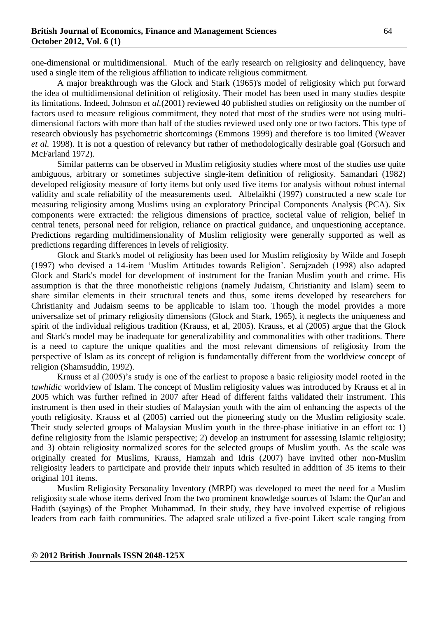one-dimensional or multidimensional. Much of the early research on religiosity and delinquency, have used a single item of the religious affiliation to indicate religious commitment.

A major breakthrough was the Glock and Stark (1965)'s model of religiosity which put forward the idea of multidimensional definition of religiosity. Their model has been used in many studies despite its limitations. Indeed, Johnson *et al.*(2001) reviewed 40 published studies on religiosity on the number of factors used to measure religious commitment, they noted that most of the studies were not using multidimensional factors with more than half of the studies reviewed used only one or two factors*.* This type of research obviously has psychometric shortcomings (Emmons 1999) and therefore is too limited (Weaver *et al.* 1998). It is not a question of relevancy but rather of methodologically desirable goal (Gorsuch and McFarland 1972).

Similar patterns can be observed in Muslim religiosity studies where most of the studies use quite ambiguous, arbitrary or sometimes subjective single-item definition of religiosity. Samandari (1982) developed religiosity measure of forty items but only used five items for analysis without robust internal validity and scale reliability of the measurements used. Albelaikhi (1997) constructed a new scale for measuring religiosity among Muslims using an exploratory Principal Components Analysis (PCA). Six components were extracted: the religious dimensions of practice, societal value of religion, belief in central tenets, personal need for religion, reliance on practical guidance, and unquestioning acceptance. Predictions regarding multidimensionality of Muslim religiosity were generally supported as well as predictions regarding differences in levels of religiosity.

Glock and Stark's model of religiosity has been used for Muslim religiosity by Wilde and Joseph (1997) who devised a 14-item "Muslim Attitudes towards Religion". Serajzadeh (1998) also adapted Glock and Stark's model for development of instrument for the Iranian Muslim youth and crime. His assumption is that the three monotheistic religions (namely Judaism, Christianity and Islam) seem to share similar elements in their structural tenets and thus, some items developed by researchers for Christianity and Judaism seems to be applicable to Islam too. Though the model provides a more universalize set of primary religiosity dimensions (Glock and Stark, 1965), it neglects the uniqueness and spirit of the individual religious tradition (Krauss, et al, 2005). Krauss, et al (2005) argue that the Glock and Stark's model may be inadequate for generalizability and commonalities with other traditions. There is a need to capture the unique qualities and the most relevant dimensions of religiosity from the perspective of lslam as its concept of religion is fundamentally different from the worldview concept of religion (Shamsuddin, 1992).

Krauss et al (2005)"s study is one of the earliest to propose a basic religiosity model rooted in the *tawhidic* worldview of Islam. The concept of Muslim religiosity values was introduced by Krauss et al in 2005 which was further refined in 2007 after Head of different faiths validated their instrument. This instrument is then used in their studies of Malaysian youth with the aim of enhancing the aspects of the youth religiosity. Krauss et al (2005) carried out the pioneering study on the Muslim religiosity scale. Their study selected groups of Malaysian Muslim youth in the three-phase initiative in an effort to: 1) define religiosity from the Islamic perspective; 2) develop an instrument for assessing Islamic religiosity; and 3) obtain religiosity normalized scores for the selected groups of Muslim youth. As the scale was originally created for Muslims, Krauss, Hamzah and Idris (2007) have invited other non-Muslim religiosity leaders to participate and provide their inputs which resulted in addition of 35 items to their original 101 items.

Muslim Religiosity Personality Inventory (MRPI) was developed to meet the need for a Muslim religiosity scale whose items derived from the two prominent knowledge sources of Islam: the Qur'an and Hadith (sayings) of the Prophet Muhammad. In their study, they have involved expertise of religious leaders from each faith communities. The adapted scale utilized a five-point Likert scale ranging from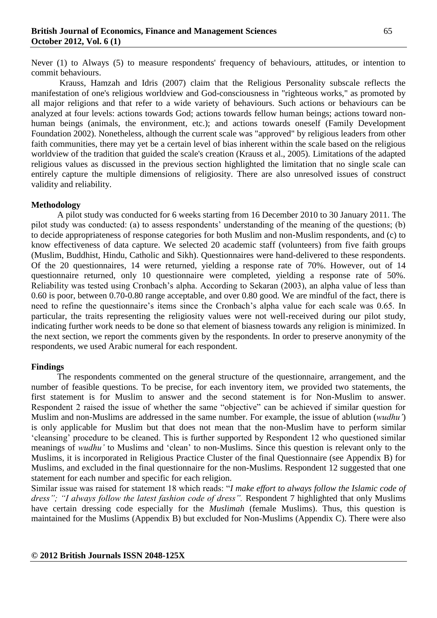Never (1) to Always (5) to measure respondents' frequency of behaviours, attitudes, or intention to commit behaviours.

Krauss, Hamzah and Idris (2007) claim that the Religious Personality subscale reflects the manifestation of one's religious worldview and God-consciousness in "righteous works," as promoted by all major religions and that refer to a wide variety of behaviours. Such actions or behaviours can be analyzed at four levels: actions towards God; actions towards fellow human beings; actions toward nonhuman beings (animals, the environment, etc.); and actions towards oneself (Family Development Foundation 2002). Nonetheless, although the current scale was "approved" by religious leaders from other faith communities, there may yet be a certain level of bias inherent within the scale based on the religious worldview of the tradition that guided the scale's creation (Krauss et al., 2005). Limitations of the adapted religious values as discussed in the previous section highlighted the limitation that no single scale can entirely capture the multiple dimensions of religiosity. There are also unresolved issues of construct validity and reliability.

### **Methodology**

A pilot study was conducted for 6 weeks starting from 16 December 2010 to 30 January 2011. The pilot study was conducted: (a) to assess respondents' understanding of the meaning of the questions; (b) to decide appropriateness of response categories for both Muslim and non-Muslim respondents, and (c) to know effectiveness of data capture. We selected 20 academic staff (volunteers) from five faith groups (Muslim, Buddhist, Hindu, Catholic and Sikh). Questionnaires were hand-delivered to these respondents. Of the 20 questionnaires, 14 were returned, yielding a response rate of 70%. However, out of 14 questionnaire returned, only 10 questionnaire were completed, yielding a response rate of 50%. Reliability was tested using Cronbach"s alpha. According to Sekaran (2003), an alpha value of less than 0.60 is poor, between 0.70-0.80 range acceptable, and over 0.80 good. We are mindful of the fact, there is need to refine the questionnaire's items since the Cronbach's alpha value for each scale was 0.65. In particular, the traits representing the religiosity values were not well-received during our pilot study, indicating further work needs to be done so that element of biasness towards any religion is minimized. In the next section, we report the comments given by the respondents. In order to preserve anonymity of the respondents, we used Arabic numeral for each respondent.

### **Findings**

The respondents commented on the general structure of the questionnaire, arrangement, and the number of feasible questions. To be precise, for each inventory item, we provided two statements, the first statement is for Muslim to answer and the second statement is for Non-Muslim to answer. Respondent 2 raised the issue of whether the same "objective" can be achieved if similar question for Muslim and non-Muslims are addressed in the same number. For example, the issue of ablution (*wudhu'*) is only applicable for Muslim but that does not mean that the non-Muslim have to perform similar "cleansing" procedure to be cleaned. This is further supported by Respondent 12 who questioned similar meanings of *wudhu'* to Muslims and "clean" to non-Muslims. Since this question is relevant only to the Muslims, it is incorporated in Religious Practice Cluster of the final Questionnaire (see Appendix B) for Muslims, and excluded in the final questionnaire for the non-Muslims. Respondent 12 suggested that one statement for each number and specific for each religion.

Similar issue was raised for statement 18 which reads: "*I make effort to always follow the Islamic code of dress"; "I always follow the latest fashion code of dress".* Respondent 7 highlighted that only Muslims have certain dressing code especially for the *Muslimah* (female Muslims). Thus, this question is maintained for the Muslims (Appendix B) but excluded for Non-Muslims (Appendix C). There were also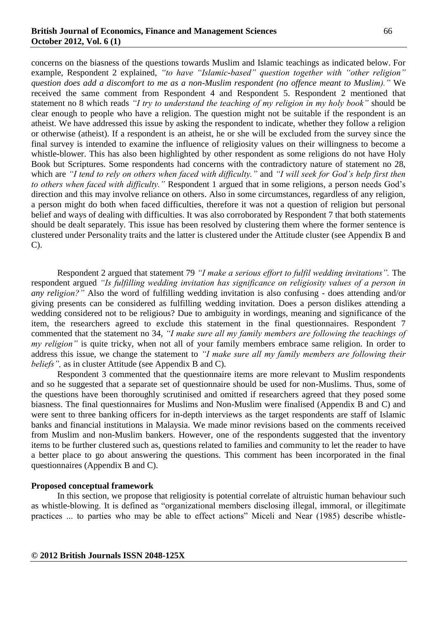concerns on the biasness of the questions towards Muslim and Islamic teachings as indicated below. For example, Respondent 2 explained, *"to have "Islamic-based" question together with "other religion" question does add a discomfort to me as a non-Muslim respondent (no offence meant to Muslim)."* We received the same comment from Respondent 4 and Respondent 5. Respondent 2 mentioned that statement no 8 which reads *"I try to understand the teaching of my religion in my holy book"* should be clear enough to people who have a religion. The question might not be suitable if the respondent is an atheist. We have addressed this issue by asking the respondent to indicate, whether they follow a religion or otherwise (atheist). If a respondent is an atheist, he or she will be excluded from the survey since the final survey is intended to examine the influence of religiosity values on their willingness to become a whistle-blower. This has also been highlighted by other respondent as some religions do not have Holy Book but Scriptures. Some respondents had concerns with the contradictory nature of statement no 28, which are *"I tend to rely on others when faced with difficulty."* and *"I will seek for God's help first then to others when faced with difficulty."* Respondent 1 argued that in some religions, a person needs God"s direction and this may involve reliance on others. Also in some circumstances, regardless of any religion, a person might do both when faced difficulties, therefore it was not a question of religion but personal belief and ways of dealing with difficulties. It was also corroborated by Respondent 7 that both statements should be dealt separately. This issue has been resolved by clustering them where the former sentence is clustered under Personality traits and the latter is clustered under the Attitude cluster (see Appendix B and C).

Respondent 2 argued that statement 79 *"I make a serious effort to fulfil wedding invitations".* The respondent argued *"Is fulfilling wedding invitation has significance on religiosity values of a person in any religion?"* Also the word of fulfilling wedding invitation is also confusing - does attending and/or giving presents can be considered as fulfilling wedding invitation. Does a person dislikes attending a wedding considered not to be religious? Due to ambiguity in wordings, meaning and significance of the item, the researchers agreed to exclude this statement in the final questionnaires. Respondent 7 commented that the statement no 34, *"I make sure all my family members are following the teachings of my religion*" is quite tricky, when not all of your family members embrace same religion. In order to address this issue, we change the statement to *"I make sure all my family members are following their beliefs"*, as in cluster Attitude (see Appendix B and C).

Respondent 3 commented that the questionnaire items are more relevant to Muslim respondents and so he suggested that a separate set of questionnaire should be used for non-Muslims. Thus, some of the questions have been thoroughly scrutinised and omitted if researchers agreed that they posed some biasness. The final questionnaires for Muslims and Non-Muslim were finalised (Appendix B and C) and were sent to three banking officers for in-depth interviews as the target respondents are staff of Islamic banks and financial institutions in Malaysia. We made minor revisions based on the comments received from Muslim and non-Muslim bankers. However, one of the respondents suggested that the inventory items to be further clustered such as, questions related to families and community to let the reader to have a better place to go about answering the questions. This comment has been incorporated in the final questionnaires (Appendix B and C).

#### **Proposed conceptual framework**

In this section, we propose that religiosity is potential correlate of altruistic human behaviour such as whistle-blowing. It is defined as "organizational members disclosing illegal, immoral, or illegitimate practices ... to parties who may be able to effect actions" Miceli and Near (1985) describe whistle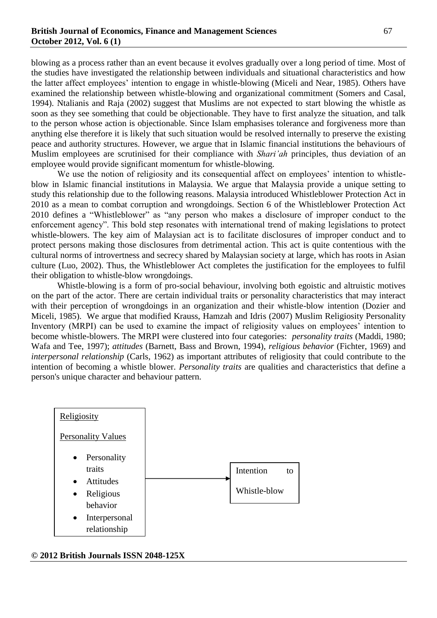blowing as a process rather than an event because it evolves gradually over a long period of time. Most of the studies have investigated the relationship between individuals and situational characteristics and how the latter affect employees" intention to engage in whistle-blowing (Miceli and Near, 1985). Others have examined the relationship between whistle-blowing and organizational commitment (Somers and Casal, 1994). Ntalianis and Raja (2002) suggest that Muslims are not expected to start blowing the whistle as soon as they see something that could be objectionable. They have to first analyze the situation, and talk to the person whose action is objectionable. Since Islam emphasises tolerance and forgiveness more than anything else therefore it is likely that such situation would be resolved internally to preserve the existing peace and authority structures. However, we argue that in Islamic financial institutions the behaviours of Muslim employees are scrutinised for their compliance with *Shari'ah* principles, thus deviation of an employee would provide significant momentum for whistle-blowing.

We use the notion of religiosity and its consequential affect on employees' intention to whistleblow in Islamic financial institutions in Malaysia. We argue that Malaysia provide a unique setting to study this relationship due to the following reasons. Malaysia introduced Whistleblower Protection Act in 2010 as a mean to combat corruption and wrongdoings. Section 6 of the Whistleblower Protection Act 2010 defines a "Whistleblower" as "any person who makes a disclosure of improper conduct to the enforcement agency". This bold step resonates with international trend of making legislations to protect whistle-blowers. The key aim of Malaysian act is to facilitate disclosures of improper conduct and to protect persons making those disclosures from detrimental action. This act is quite contentious with the cultural norms of introvertness and secrecy shared by Malaysian society at large, which has roots in Asian culture (Luo, 2002). Thus, the Whistleblower Act completes the justification for the employees to fulfil their obligation to whistle-blow wrongdoings.

Whistle-blowing is a form of pro-social behaviour, involving both egoistic and altruistic motives on the part of the actor. There are certain individual traits or personality characteristics that may interact with their perception of wrongdoings in an organization and their whistle-blow intention (Dozier and Miceli, 1985). We argue that modified Krauss, Hamzah and Idris (2007) Muslim Religiosity Personality Inventory (MRPI) can be used to examine the impact of religiosity values on employees' intention to become whistle-blowers. The MRPI were clustered into four categories: *personality traits* (Maddi, 1980; Wafa and Tee, 1997); *attitudes* (Barnett, Bass and Brown, 1994), *religious behavior* (Fichter, 1969) and *interpersonal relationship* (Carls, 1962) as important attributes of religiosity that could contribute to the intention of becoming a whistle blower. *Personality traits* are qualities and characteristics that define a person's unique character and behaviour pattern.



**© 2012 British Journals ISSN 2048-125X**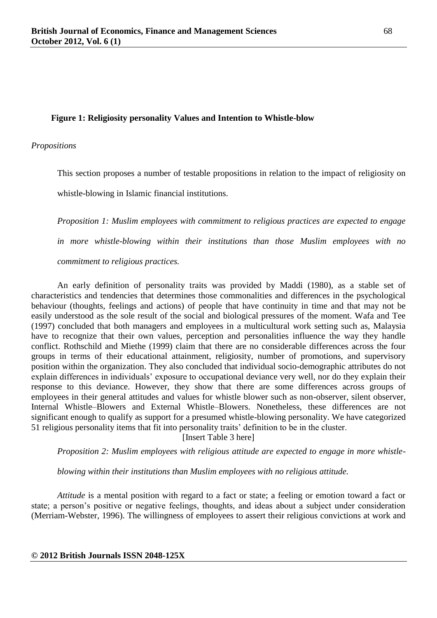### **Figure 1: Religiosity personality Values and Intention to Whistle-blow**

#### *Propositions*

This section proposes a number of testable propositions in relation to the impact of religiosity on

whistle-blowing in Islamic financial institutions.

*Proposition 1: Muslim employees with commitment to religious practices are expected to engage in more whistle-blowing within their institutions than those Muslim employees with no* 

*commitment to religious practices.*

An early definition of personality traits was provided by Maddi (1980), as a stable set of characteristics and tendencies that determines those commonalities and differences in the psychological behaviour (thoughts, feelings and actions) of people that have continuity in time and that may not be easily understood as the sole result of the social and biological pressures of the moment. Wafa and Tee (1997) concluded that both managers and employees in a multicultural work setting such as, Malaysia have to recognize that their own values, perception and personalities influence the way they handle conflict. Rothschild and Miethe (1999) claim that there are no considerable differences across the four groups in terms of their educational attainment, religiosity, number of promotions, and supervisory position within the organization. They also concluded that individual socio-demographic attributes do not explain differences in individuals" exposure to occupational deviance very well, nor do they explain their response to this deviance. However, they show that there are some differences across groups of employees in their general attitudes and values for whistle blower such as non-observer, silent observer, Internal Whistle–Blowers and External Whistle–Blowers. Nonetheless, these differences are not significant enough to qualify as support for a presumed whistle-blowing personality. We have categorized 51 religious personality items that fit into personality traits" definition to be in the cluster.

[Insert Table 3 here]

*Proposition 2: Muslim employees with religious attitude are expected to engage in more whistle-*

*blowing within their institutions than Muslim employees with no religious attitude.*

*Attitude* is a mental position with regard to a fact or state; a feeling or emotion toward a fact or state; a person"s positive or negative feelings, thoughts, and ideas about a subject under consideration (Merriam-Webster, 1996). The willingness of employees to assert their religious convictions at work and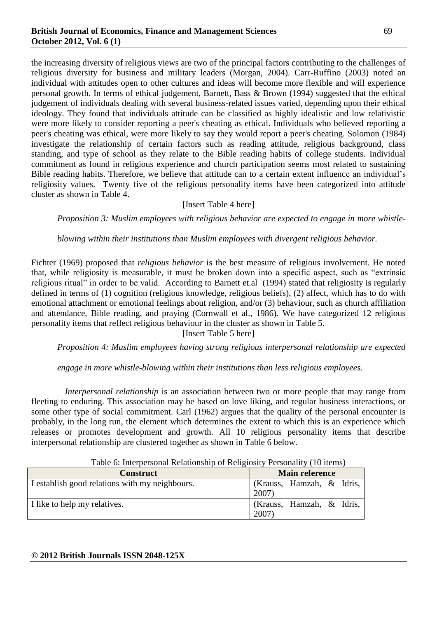the increasing diversity of religious views are two of the principal factors contributing to the challenges of religious diversity for business and military leaders (Morgan, 2004). Carr-Ruffino (2003) noted an individual with attitudes open to other cultures and ideas will become more flexible and will experience personal growth. In terms of ethical judgement, Barnett, Bass & Brown (1994) suggested that the ethical judgement of individuals dealing with several business-related issues varied, depending upon their ethical ideology. They found that individuals attitude can be classified as highly idealistic and low relativistic were more likely to consider reporting a peer's cheating as ethical. Individuals who believed reporting a peer's cheating was ethical, were more likely to say they would report a peer's cheating. Solomon (1984) investigate the relationship of certain factors such as reading attitude, religious background, class standing, and type of school as they relate to the Bible reading habits of college students. Individual commitment as found in religious experience and church participation seems most related to sustaining Bible reading habits. Therefore, we believe that attitude can to a certain extent influence an individual's religiosity values. Twenty five of the religious personality items have been categorized into attitude cluster as shown in Table 4.

### [Insert Table 4 here]

*Proposition 3: Muslim employees with religious behavior are expected to engage in more whistle-*

*blowing within their institutions than Muslim employees with divergent religious behavior.*

Fichter (1969) proposed that *religious behavior* is the best measure of religious involvement. He noted that, while religiosity is measurable, it must be broken down into a specific aspect, such as "extrinsic religious ritual" in order to be valid. According to Barnett et.al (1994) stated that religiosity is regularly defined in terms of (1) cognition (religious knowledge, religious beliefs), (2) affect, which has to do with emotional attachment or emotional feelings about religion, and/or (3) behaviour, such as church affiliation and attendance, Bible reading, and praying (Cornwall et al., 1986). We have categorized 12 religious personality items that reflect religious behaviour in the cluster as shown in Table 5.

[Insert Table 5 here]

*Proposition 4: Muslim employees having strong religious interpersonal relationship are expected* 

*engage in more whistle-blowing within their institutions than less religious employees.*

*Interpersonal relationship* is an association between two or more people that may range from fleeting to enduring. This association may be based on love liking, and regular business interactions, or some other type of social commitment. Carl (1962) argues that the quality of the personal encounter is probably, in the long run, the element which determines the extent to which this is an experience which releases or promotes development and growth. All 10 religious personality items that describe interpersonal relationship are clustered together as shown in Table 6 below.

| Table 0. Interpersonal Relationship of Religiosity I cristiantly (To Items) |                                      |  |  |  |
|-----------------------------------------------------------------------------|--------------------------------------|--|--|--|
| <b>Construct</b>                                                            | <b>Main reference</b>                |  |  |  |
| I establish good relations with my neighbours.                              | (Krauss, Hamzah, & Idris,<br>2007)   |  |  |  |
| I like to help my relatives.                                                | (Krauss, Hamzah, $\&$ Idris,<br>2007 |  |  |  |

Table 6: Interpersonal Relationship of Religiosity Personality (10 items)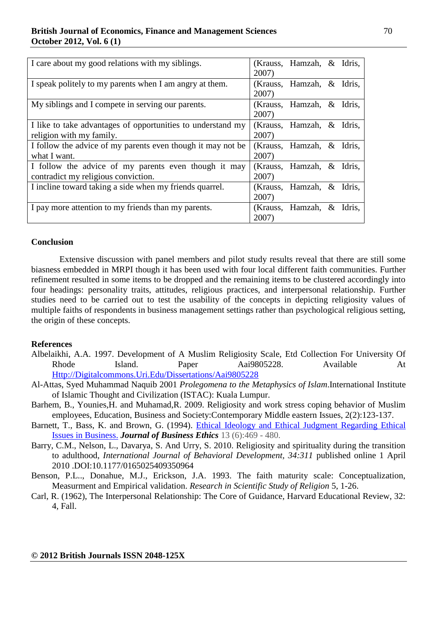| I care about my good relations with my siblings.                                            | 2007) | (Krauss, Hamzah, & Idris, |        |
|---------------------------------------------------------------------------------------------|-------|---------------------------|--------|
| I speak politely to my parents when I am angry at them.                                     | 2007) | (Krauss, Hamzah, $\&$     | Idris, |
| My siblings and I compete in serving our parents.                                           | 2007) | (Krauss, Hamzah, &        | Idris, |
| I like to take advantages of opportunities to understand my<br>religion with my family.     | 2007) | (Krauss, Hamzah, & Idris, |        |
| I follow the advice of my parents even though it may not be<br>what I want.                 | 2007) | (Krauss, Hamzah, $\&$     | Idris, |
| I follow the advice of my parents even though it may<br>contradict my religious conviction. | 2007) | (Krauss, Hamzah, & Idris, |        |
| I incline toward taking a side when my friends quarrel.                                     | 2007) | (Krauss, Hamzah, & Idris, |        |
| I pay more attention to my friends than my parents.                                         | 2007) | (Krauss, Hamzah, $\&$     | Idris. |

### **Conclusion**

Extensive discussion with panel members and pilot study results reveal that there are still some biasness embedded in MRPI though it has been used with four local different faith communities. Further refinement resulted in some items to be dropped and the remaining items to be clustered accordingly into four headings: personality traits, attitudes, religious practices, and interpersonal relationship. Further studies need to be carried out to test the usability of the concepts in depicting religiosity values of multiple faiths of respondents in business management settings rather than psychological religious setting, the origin of these concepts.

#### **References**

- Albelaikhi, A.A. 1997. Development of A Muslim Religiosity Scale, Etd Collection For University Of Rhode Island. Paper Aai9805228. Available At [Http://Digitalcommons.Uri.Edu/Dissertations/Aai9805228](http://digitalcommons.uri.edu/Dissertations/Aai9805228)
- Al-Attas, Syed Muhammad Naquib 2001 *Prolegomena to the Metaphysics of Islam*.International Institute of Islamic Thought and Civilization (ISTAC): Kuala Lumpur.
- Barhem, B., Younies,H. and Muhamad,R. 2009. Religiosity and work stress coping behavior of Muslim employees, Education, Business and Society:Contemporary Middle eastern Issues, 2(2):123-137.
- Barnett, T., Bass, K. and Brown, G. (1994). Ethical Ideology and Ethical Judgment Regarding Ethical [Issues in Business.](http://www.springerlink.com/content/r6022667t34146g6/fulltext.pdf) *Journal of Business Ethics* 13 (6):469 - 480.
- Barry, C.M., Nelson, L., Davarya, S. And Urry, S. 2010. Religiosity and spirituality during the transition to adulthood, *International Journal of Behavioral Development, 34:311* published online 1 April 2010 .DOI:10.1177/0165025409350964
- Benson, P.L.., Donahue, M.J., Erickson, J.A. 1993. The faith maturity scale: Conceptualization, Measurment and Empirical validation. *Research in Scientific Study of Religion* 5, 1-26.
- Carl, R. (1962), The Interpersonal Relationship: The Core of Guidance, Harvard Educational Review, 32: 4, Fall.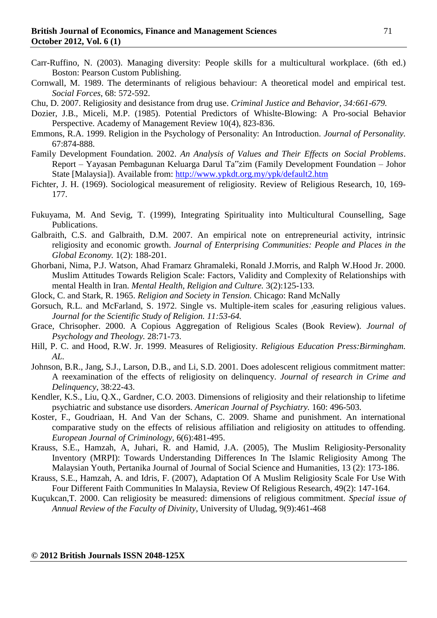- Carr-Ruffino, N. (2003). Managing diversity: People skills for a multicultural workplace. (6th ed.) Boston: Pearson Custom Publishing.
- Cornwall, M. 1989. The determinants of religious behaviour: A theoretical model and empirical test. *Social Forces*, 68: 572-592.

Chu, D. 2007. Religiosity and desistance from drug use. *Criminal Justice and Behavior, 34:661-679.*

- Dozier, J.B., Miceli, M.P. (1985). Potential Predictors of Whislte-Blowing: A Pro-social Behavior Perspective. Academy of Management Review 10(4), 823-836.
- Emmons, R.A. 1999. Religion in the Psychology of Personality: An Introduction. *Journal of Personality.*  67:874-888.
- Family Development Foundation. 2002. *An Analysis of Values and Their Effects on Social Problems*. Report – Yayasan Pembagunan Keluarga Darul Ta"zim (Family Development Foundation – Johor State [Malaysia]). Available from:<http://www.ypkdt.org.my/ypk/default2.htm>
- Fichter, J. H. (1969). Sociological measurement of religiosity. Review of Religious Research, 10, 169- 177.
- Fukuyama, M. And Sevig, T. (1999), Integrating Spirituality into Multicultural Counselling, Sage Publications.
- Galbraith, C.S. and Galbraith, D.M. 2007. An empirical note on entrepreneurial activity, intrinsic religiosity and economic growth. *Journal of Enterprising Communities: People and Places in the Global Economy.* 1(2): 188-201.
- Ghorbani, Nima, P.J. Watson, Ahad Framarz Ghramaleki, Ronald J.Morris, and Ralph W.Hood Jr. 2000. Muslim Attitudes Towards Religion Scale: Factors, Validity and Complexity of Relationships with mental Health in Iran. *Mental Health, Religion and Culture.* 3(2):125-133.
- Glock, C. and Stark, R. 1965. *Religion and Society in Tension.* Chicago: Rand McNally
- Gorsuch, R.L. and McFarland, S. 1972. Single vs. Multiple-item scales for ,easuring religious values. *Journal for the Scientific Study of Religion. 11:53-64.*
- Grace, Chrisopher. 2000. A Copious Aggregation of Religious Scales (Book Review). *Journal of Psychology and Theology.* 28:71-73.
- Hill, P. C. and Hood, R.W. Jr. 1999. Measures of Religiosity. *Religious Education Press:Birmingham. AL.*
- Johnson, B.R., Jang, S.J., Larson, D.B., and Li, S.D. 2001. Does adolescent religious commitment matter: A reexamination of the effects of religiosity on delinquency. *Journal of research in Crime and Delinquency*, 38:22-43.
- Kendler, K.S., Liu, Q.X., Gardner, C.O. 2003. Dimensions of religiosity and their relationship to lifetime psychiatric and substance use disorders. *American Journal of Psychiatry.* 160: 496-503.
- Koster, F., Goudriaan, H. And Van der Schans, C. 2009. Shame and punishment. An international comparative study on the effects of relisious affiliation and religiosity on attitudes to offending. *European Journal of Criminology,* 6(6):481-495.
- Krauss, S.E., Hamzah, A, Juhari, R. and Hamid, J.A. (2005), The Muslim Religiosity-Personality Inventory (MRPI): Towards Understanding Differences In The Islamic Religiosity Among The Malaysian Youth, Pertanika Journal of Journal of Social Science and Humanities, 13 (2): 173-186.
- Krauss, S.E., Hamzah, A. and Idris, F. (2007), Adaptation Of A Muslim Religiosity Scale For Use With Four Different Faith Communities In Malaysia, Review Of Religious Research, 49(2): 147-164.
- Kuçukcan,T. 2000. Can religiosity be measured: dimensions of religious commitment. *Special issue of Annual Review of the Faculty of Divinity*, University of Uludag, 9(9):461-468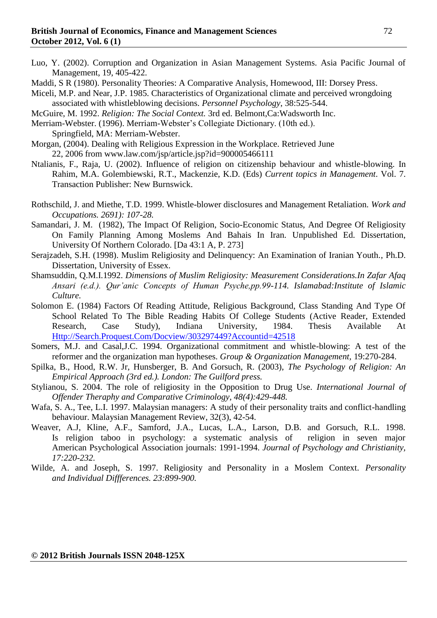- Luo, Y. (2002). Corruption and Organization in Asian Management Systems. Asia Pacific Journal of Management, 19, 405-422.
- Maddi, S R (1980). Personality Theories: A Comparative Analysis, Homewood, III: Dorsey Press.
- Miceli, M.P. and Near, J.P. 1985. Characteristics of Organizational climate and perceived wrongdoing associated with whistleblowing decisions. *Personnel Psychology*, 38:525-544.
- McGuire, M. 1992. *Religion: The Social Context.* 3rd ed. Belmont,Ca:Wadsworth Inc.
- Merriam-Webster. (1996). Merriam-Webster"s Collegiate Dictionary. (10th ed.).
- Springfield, MA: Merriam-Webster.
- Morgan, (2004). Dealing with Religious Expression in the Workplace. Retrieved June 22, 2006 from www.law.com/jsp/article.jsp?id=900005466111
- Ntalianis, F., Raja, U. (2002). Influence of religion on citizenship behaviour and whistle-blowing. In Rahim, M.A. Golembiewski, R.T., Mackenzie, K.D. (Eds) *Current topics in Management*. Vol. 7. Transaction Publisher: New Burnswick.
- Rothschild, J. and Miethe, T.D. 1999. Whistle-blower disclosures and Management Retaliation. *Work and Occupations. 2691): 107-28.*
- Samandari, J. M. (1982), The Impact Of Religion, Socio-Economic Status, And Degree Of Religiosity On Family Planning Among Moslems And Bahais In Iran. Unpublished Ed. Dissertation, University Of Northern Colorado. [Da 43:1 A, P. 273]
- Serajzadeh, S.H. (1998). Muslim Religiosity and Delinquency: An Examination of Iranian Youth., Ph.D. Dissertation, University of Essex.
- Shamsuddin, Q.M.I.1992. *Dimensions of Muslim Religiosity: Measurement Considerations.In Zafar Afaq Ansari (e.d.). Qur'anic Concepts of Human Psyche,pp.99-114. Islamabad:Institute of Islamic Culture.*
- Solomon E. (1984) Factors Of Reading Attitude, Religious Background, Class Standing And Type Of School Related To The Bible Reading Habits Of College Students (Active Reader, Extended Research, Case Study), Indiana University, 1984. Thesis Available At [Http://Search.Proquest.Com/Docview/303297449?Accountid=42518](http://search.proquest.com/docview/303297449?accountid=42518)
- Somers, M.J. and Casal,J.C. 1994. Organizational commitment and whistle-blowing: A test of the reformer and the organization man hypotheses. *Group & Organization Management,* 19:270-284.
- Spilka, B., Hood, R.W. Jr, Hunsberger, B. And Gorsuch, R. (2003), *The Psychology of Religion: An Empirical Approach (3rd ed.). London: The Guilford press.*
- Stylianou, S. 2004. The role of religiosity in the Opposition to Drug Use. *International Journal of Offender Theraphy and Comparative Criminology, 48(4):429-448.*
- Wafa, S. A., Tee, L.I. 1997. Malaysian managers: A study of their personality traits and conflict-handling behaviour. Malaysian Management Review, 32(3), 42-54.
- Weaver, A.J, Kline, A.F., Samford, J.A., Lucas, L.A., Larson, D.B. and Gorsuch, R.L. 1998. Is religion taboo in psychology: a systematic analysis of religion in seven major American Psychological Association journals: 1991-1994. *Journal of Psychology and Christianity, 17:220-232.*
- Wilde, A. and Joseph, S. 1997. Religiosity and Personality in a Moslem Context. *Personality and Individual Diffferences. 23:899-900.*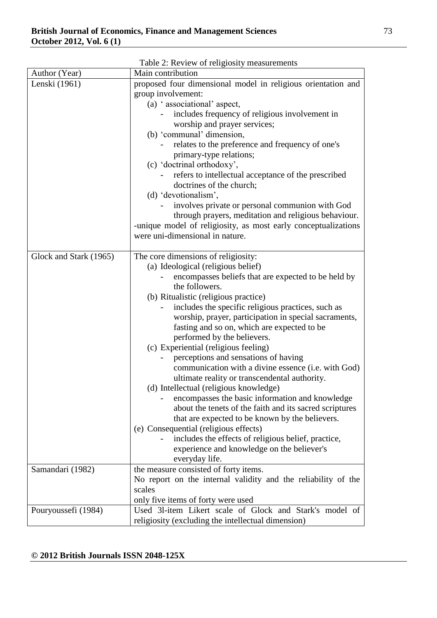| Table 2: Review of religiosity measurements |                                                                                             |  |  |
|---------------------------------------------|---------------------------------------------------------------------------------------------|--|--|
| Author (Year)                               | Main contribution                                                                           |  |  |
| Lenski (1961)                               | proposed four dimensional model in religious orientation and                                |  |  |
|                                             | group involvement:                                                                          |  |  |
|                                             | (a) 'associational' aspect,                                                                 |  |  |
|                                             | includes frequency of religious involvement in                                              |  |  |
|                                             | worship and prayer services;                                                                |  |  |
|                                             | (b) 'communal' dimension,                                                                   |  |  |
|                                             | relates to the preference and frequency of one's                                            |  |  |
|                                             | primary-type relations;                                                                     |  |  |
|                                             | (c) 'doctrinal orthodoxy',                                                                  |  |  |
|                                             | refers to intellectual acceptance of the prescribed                                         |  |  |
|                                             | doctrines of the church;                                                                    |  |  |
|                                             | (d) 'devotionalism',                                                                        |  |  |
|                                             | involves private or personal communion with God                                             |  |  |
|                                             | through prayers, meditation and religious behaviour.                                        |  |  |
|                                             | -unique model of religiosity, as most early conceptualizations                              |  |  |
|                                             | were uni-dimensional in nature.                                                             |  |  |
|                                             |                                                                                             |  |  |
| Glock and Stark (1965)                      | The core dimensions of religiosity:                                                         |  |  |
|                                             | (a) Ideological (religious belief)                                                          |  |  |
|                                             | encompasses beliefs that are expected to be held by                                         |  |  |
|                                             | the followers.                                                                              |  |  |
|                                             | (b) Ritualistic (religious practice)                                                        |  |  |
|                                             | includes the specific religious practices, such as                                          |  |  |
|                                             | worship, prayer, participation in special sacraments,                                       |  |  |
|                                             | fasting and so on, which are expected to be                                                 |  |  |
|                                             | performed by the believers.                                                                 |  |  |
|                                             | (c) Experiential (religious feeling)                                                        |  |  |
|                                             | perceptions and sensations of having<br>communication with a divine essence (i.e. with God) |  |  |
|                                             | ultimate reality or transcendental authority.                                               |  |  |
|                                             | (d) Intellectual (religious knowledge)                                                      |  |  |
|                                             | encompasses the basic information and knowledge                                             |  |  |
|                                             | about the tenets of the faith and its sacred scriptures                                     |  |  |
|                                             | that are expected to be known by the believers.                                             |  |  |
|                                             | (e) Consequential (religious effects)                                                       |  |  |
|                                             | includes the effects of religious belief, practice,                                         |  |  |
|                                             | experience and knowledge on the believer's                                                  |  |  |
|                                             | everyday life.                                                                              |  |  |
| Samandari (1982)                            | the measure consisted of forty items.                                                       |  |  |
|                                             | No report on the internal validity and the reliability of the                               |  |  |
|                                             | scales                                                                                      |  |  |
|                                             | only five items of forty were used                                                          |  |  |
| Pouryoussefi (1984)                         | Used 31-item Likert scale of Glock and Stark's model of                                     |  |  |
|                                             | religiosity (excluding the intellectual dimension)                                          |  |  |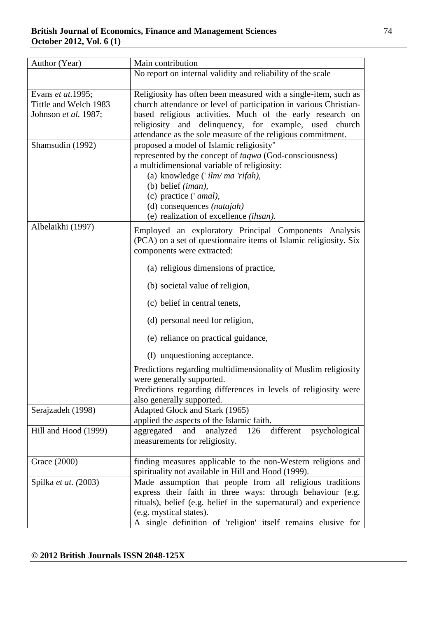| Author (Year)              | Main contribution                                                                                                          |
|----------------------------|----------------------------------------------------------------------------------------------------------------------------|
|                            | No report on internal validity and reliability of the scale                                                                |
| Evans <i>et at</i> . 1995; | Religiosity has often been measured with a single-item, such as                                                            |
| Tittle and Welch 1983      | church attendance or level of participation in various Christian-                                                          |
| Johnson et al. 1987;       | based religious activities. Much of the early research on                                                                  |
|                            | religiosity and delinquency, for example, used church                                                                      |
|                            | attendance as the sole measure of the religious commitment.                                                                |
| Shamsudin (1992)           | proposed a model of Islamic religiosity"                                                                                   |
|                            | represented by the concept of taqwa (God-consciousness)                                                                    |
|                            | a multidimensional variable of religiosity:                                                                                |
|                            | (a) knowledge $('ilm/ma'rifah)$ ,                                                                                          |
|                            | (b) belief (iman),                                                                                                         |
|                            | (c) practice (' amal),                                                                                                     |
|                            | (d) consequences (natajah)                                                                                                 |
|                            | (e) realization of excellence (ihsan).                                                                                     |
| Albelaikhi (1997)          | Employed an exploratory Principal Components Analysis<br>(PCA) on a set of questionnaire items of Islamic religiosity. Six |
|                            | components were extracted:                                                                                                 |
|                            | (a) religious dimensions of practice,                                                                                      |
|                            | (b) societal value of religion,                                                                                            |
|                            | (c) belief in central tenets,                                                                                              |
|                            | (d) personal need for religion,                                                                                            |
|                            | (e) reliance on practical guidance,                                                                                        |
|                            | (f) unquestioning acceptance.                                                                                              |
|                            | Predictions regarding multidimensionality of Muslim religiosity                                                            |
|                            | were generally supported.                                                                                                  |
|                            | Predictions regarding differences in levels of religiosity were                                                            |
|                            | also generally supported.                                                                                                  |
| Serajzadeh (1998)          | Adapted Glock and Stark (1965)                                                                                             |
|                            | applied the aspects of the Islamic faith.<br>126 different                                                                 |
| Hill and Hood (1999)       | analyzed<br>aggregated and<br>psychological<br>measurements for religiosity.                                               |
|                            |                                                                                                                            |
| Grace (2000)               | finding measures applicable to the non-Western religions and                                                               |
|                            | spirituality not available in Hill and Hood (1999).                                                                        |
| Spilka et at. (2003)       | Made assumption that people from all religious traditions                                                                  |
|                            | express their faith in three ways: through behaviour (e.g.                                                                 |
|                            | rituals), belief (e.g. belief in the supernatural) and experience                                                          |
|                            | (e.g. mystical states).                                                                                                    |
|                            | A single definition of 'religion' itself remains elusive for                                                               |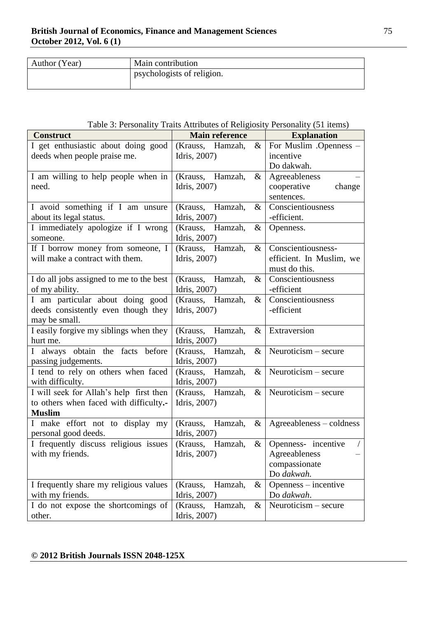| Author (Year) | Main contribution          |
|---------------|----------------------------|
|               | psychologists of religion. |
|               |                            |

## Table 3: Personality Traits Attributes of Religiosity Personality (51 items)

| <b>Construct</b>                         | <b>Main reference</b>       | <b>Explanation</b>       |
|------------------------------------------|-----------------------------|--------------------------|
| I get enthusiastic about doing good      | (Krauss, Hamzah,<br>&       | For Muslim .Openness -   |
| deeds when people praise me.             | Idris, 2007)                | incentive                |
|                                          |                             | Do dakwah.               |
| I am willing to help people when in      | (Krauss, Hamzah,<br>$\&$    | Agreeableness            |
| need.                                    | Idris, 2007)                | cooperative<br>change    |
|                                          |                             | sentences.               |
| I avoid something if I am unsure         | (Krauss, Hamzah,<br>$\&$    | Conscientiousness        |
| about its legal status.                  | Idris, 2007)                | -efficient.              |
| I immediately apologize if I wrong       | (Krauss, Hamzah,<br>&       | Openness.                |
| someone.                                 | Idris, 2007)                |                          |
| If I borrow money from someone, I        | (Krauss, Hamzah,<br>$\&$    | Conscientiousness-       |
| will make a contract with them.          | Idris, 2007)                | efficient. In Muslim, we |
|                                          |                             | must do this.            |
| I do all jobs assigned to me to the best | (Krauss, Hamzah,<br>$\&$    | Conscientiousness        |
| of my ability.                           | Idris, 2007)                | -efficient               |
| I am particular about doing good         | (Krauss, Hamzah,<br>$\&$    | Conscientiousness        |
| deeds consistently even though they      | Idris, 2007)                | -efficient               |
| may be small.                            |                             |                          |
| I easily forgive my siblings when they   | (Krauss, Hamzah,<br>$\&$    | Extraversion             |
| hurt me.                                 | Idris, 2007)                |                          |
| I always obtain the facts before         | (Krauss, Hamzah,<br>$\&$    | Neuroticism - secure     |
| passing judgements.                      | Idris, 2007)                |                          |
| I tend to rely on others when faced      | (Krauss,<br>Hamzah,<br>$\&$ | $Neuroticism - secure$   |
| with difficulty.                         | Idris, 2007)                |                          |
| I will seek for Allah's help first then  | (Krauss, Hamzah,<br>$\&$    | Neuroticism - secure     |
| to others when faced with difficulty.-   | Idris, 2007)                |                          |
| <b>Muslim</b>                            |                             |                          |
| I make effort not to display my          | (Krauss,<br>Hamzah,<br>&    | Agreeableness – coldness |
| personal good deeds.                     | Idris, 2007)                |                          |
| I frequently discuss religious issues    | (Krauss, Hamzah,<br>&       | Openness- incentive      |
| with my friends.                         | Idris, 2007)                | Agreeableness            |
|                                          |                             | compassionate            |
|                                          |                             | Do dakwah.               |
| I frequently share my religious values   | Hamzah,<br>(Krauss,<br>&    | Openness – incentive     |
| with my friends.                         | Idris, 2007)                | Do dakwah.               |
| I do not expose the shortcomings of      | (Krauss,<br>Hamzah,<br>$\&$ | $Neuroticism - secure$   |
| other.                                   | Idris, 2007)                |                          |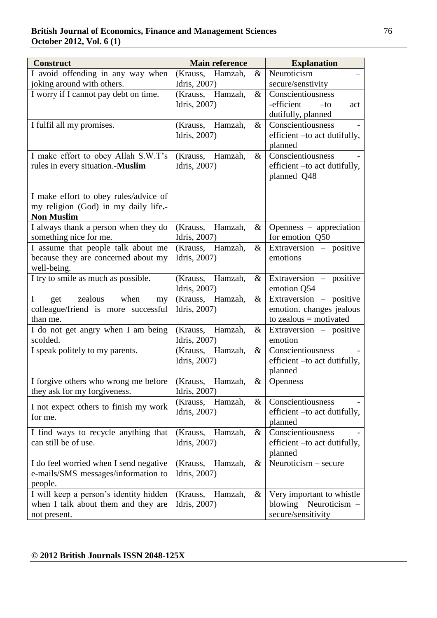| <b>Construct</b>                                   | <b>Main reference</b>       | <b>Explanation</b>                  |
|----------------------------------------------------|-----------------------------|-------------------------------------|
| I avoid offending in any way when                  | Hamzah,<br>(Krauss,<br>&    | Neuroticism                         |
| joking around with others.                         | Idris, 2007)                | secure/senstivity                   |
| I worry if I cannot pay debt on time.              | $\&$<br>(Krauss, Hamzah,    | Conscientiousness                   |
|                                                    | Idris, 2007)                | -efficient<br>$-to$<br>act          |
|                                                    |                             | dutifully, planned                  |
| I fulfil all my promises.                          | $\&$<br>(Krauss, Hamzah,    | Conscientiousness                   |
|                                                    | Idris, 2007)                | efficient -to act dutifully,        |
|                                                    |                             | planned                             |
| I make effort to obey Allah S.W.T's                | (Krauss, Hamzah,<br>$\&$    | Conscientiousness                   |
| rules in every situation.-Muslim                   | Idris, 2007)                | efficient -to act dutifully,        |
|                                                    |                             | planned Q48                         |
|                                                    |                             |                                     |
| I make effort to obey rules/advice of              |                             |                                     |
| my religion (God) in my daily life.-               |                             |                                     |
| <b>Non Muslim</b>                                  |                             |                                     |
| I always thank a person when they do               | (Krauss, Hamzah,<br>$\&$    | Openness – appreciation             |
| something nice for me.                             | Idris, 2007)                | for emotion Q50                     |
| I assume that people talk about me                 | (Krauss, Hamzah,<br>$\&$    | Extraversion – positive<br>emotions |
| because they are concerned about my<br>well-being. | Idris, 2007)                |                                     |
| I try to smile as much as possible.                | (Krauss, Hamzah,<br>$\&$    | Extraversion - positive             |
|                                                    | Idris, 2007)                | emotion Q54                         |
| zealous<br>when<br>I<br>get<br>my                  | Hamzah,<br>(Krauss,<br>&    | Extraversion – positive             |
| colleague/friend is more successful                | Idris, 2007)                | emotion. changes jealous            |
| than me.                                           |                             | to zealous $=$ motivated            |
| I do not get angry when I am being                 | (Krauss,<br>Hamzah,<br>&    | Extraversion – positive             |
| scolded.                                           | Idris, 2007)                | emotion                             |
| I speak politely to my parents.                    | Hamzah,<br>(Krauss,<br>$\&$ | Conscientiousness                   |
|                                                    | Idris, 2007)                | efficient - to act dutifully,       |
|                                                    |                             | planned                             |
| I forgive others who wrong me before               | Hamzah,<br>(Krauss,<br>&    | <b>Openness</b>                     |
| they ask for my forgiveness.                       | Idris, 2007)                |                                     |
|                                                    | (Krauss, Hamzah,<br>&       | Conscientiousness                   |
| I not expect others to finish my work<br>for me.   | Idris, 2007)                | efficient - to act dutifully,       |
|                                                    |                             | planned                             |
| I find ways to recycle anything that               | $\&$<br>(Krauss,<br>Hamzah, | Conscientiousness                   |
| can still be of use.                               | Idris, 2007)                | efficient – to act dutifully,       |
|                                                    |                             | planned                             |
| I do feel worried when I send negative             | Hamzah,<br>(Krauss,<br>&    | Neuroticism - secure                |
| e-mails/SMS messages/information to                | Idris, 2007)                |                                     |
| people.                                            |                             |                                     |
| I will keep a person's identity hidden             | Hamzah,<br>(Krauss,<br>&    | Very important to whistle           |
| when I talk about them and they are                | Idris, 2007)                | blowing Neuroticism –               |
| not present.                                       |                             | secure/sensitivity                  |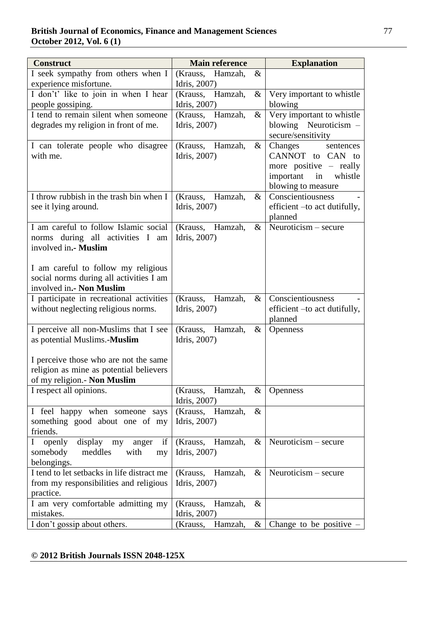| <b>Construct</b>                                   | <b>Main reference</b>       | <b>Explanation</b>            |
|----------------------------------------------------|-----------------------------|-------------------------------|
| I seek sympathy from others when I                 | (Krauss,<br>Hamzah,<br>$\&$ |                               |
| experience misfortune.                             | Idris, 2007)                |                               |
| I don't' like to join in when I hear               | (Krauss, Hamzah,<br>$\&$    | Very important to whistle     |
| people gossiping.                                  | Idris, 2007)                | blowing                       |
| I tend to remain silent when someone               | (Krauss, Hamzah,<br>&       | Very important to whistle     |
| degrades my religion in front of me.               | Idris, 2007)                | blowing Neuroticism -         |
|                                                    |                             | secure/sensitivity            |
| I can tolerate people who disagree                 | (Krauss, Hamzah,<br>$\&$    | Changes<br>sentences          |
| with me.                                           | Idris, 2007)                | CANNOT to CAN to              |
|                                                    |                             | more positive – really        |
|                                                    |                             | important<br>in<br>whistle    |
|                                                    |                             | blowing to measure            |
| I throw rubbish in the trash bin when I            | (Krauss,<br>Hamzah,<br>$\&$ | Conscientiousness             |
| see it lying around.                               | Idris, 2007)                | efficient - to act dutifully, |
|                                                    |                             | planned                       |
| I am careful to follow Islamic social              | &<br>(Krauss, Hamzah,       | Neuroticism $-$ secure        |
| norms during all activities I am                   | Idris, 2007)                |                               |
| involved in.- Muslim                               |                             |                               |
|                                                    |                             |                               |
| I am careful to follow my religious                |                             |                               |
| social norms during all activities I am            |                             |                               |
| involved in.- Non Muslim                           |                             |                               |
| I participate in recreational activities           | (Krauss,<br>Hamzah,<br>&    | Conscientiousness             |
| without neglecting religious norms.                | Idris, 2007)                | efficient –to act dutifully,  |
|                                                    |                             | planned                       |
| I perceive all non-Muslims that I see              | (Krauss,<br>Hamzah,<br>&    | <b>Openness</b>               |
| as potential Muslims.-Muslim                       | Idris, 2007)                |                               |
| I perceive those who are not the same              |                             |                               |
| religion as mine as potential believers            |                             |                               |
| of my religion.- Non Muslim                        |                             |                               |
| I respect all opinions.                            | (Krauss, Hamzah,<br>&       | <b>Openness</b>               |
|                                                    | Idris, 2007)                |                               |
| I feel happy when someone says                     | (Krauss, Hamzah,<br>&       |                               |
| something good about one of my                     | Idris, 2007)                |                               |
| friends.                                           |                             |                               |
| if<br>display my<br>openly<br>$\mathbf I$<br>anger | (Krauss, Hamzah,<br>&       | $Neuroticism - secure$        |
| meddles<br>somebody<br>with<br>my                  | Idris, 2007)                |                               |
| belongings.                                        |                             |                               |
| I tend to let setbacks in life distract me         | (Krauss,<br>Hamzah,<br>&    | Neuroticism $-$ secure        |
| from my responsibilities and religious             | Idris, 2007)                |                               |
| practice.                                          |                             |                               |
| I am very comfortable admitting my                 | Hamzah,<br>&<br>(Krauss,    |                               |
| mistakes.                                          | Idris, 2007)                |                               |
| I don't gossip about others.                       | Hamzah,<br>(Krauss,<br>$\&$ | Change to be positive         |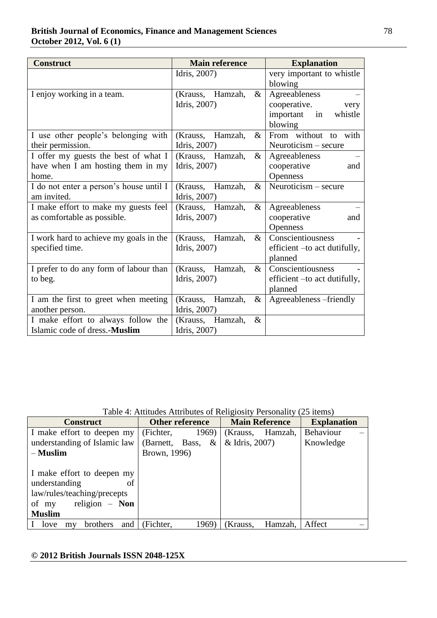| <b>Construct</b>                        | <b>Main reference</b>       | <b>Explanation</b>           |  |
|-----------------------------------------|-----------------------------|------------------------------|--|
|                                         | Idris, 2007)                | very important to whistle    |  |
|                                         |                             | blowing                      |  |
| I enjoy working in a team.              | (Krauss, Hamzah,<br>$\&$    | Agreeableness                |  |
|                                         | Idris, 2007)                | cooperative.<br>very         |  |
|                                         |                             | important in<br>whistle      |  |
|                                         |                             | blowing                      |  |
| I use other people's belonging with     | (Krauss, Hamzah,<br>&       | From without to with         |  |
| their permission.                       | Idris, 2007)                | Neuroticism - secure         |  |
| I offer my guests the best of what I    | (Krauss, Hamzah,<br>&       | Agreeableness                |  |
| have when I am hosting them in my       | Idris, 2007)                | cooperative<br>and           |  |
| home.                                   |                             | <b>Openness</b>              |  |
| I do not enter a person's house until I | (Krauss, Hamzah,<br>$\&$    | $Neuroticism - secure$       |  |
| am invited.                             | Idris, 2007)                |                              |  |
| I make effort to make my guests feel    | (Krauss, Hamzah,<br>$\&$    | Agreeableness                |  |
| as comfortable as possible.             | Idris, 2007)                | cooperative<br>and           |  |
|                                         |                             | <b>Openness</b>              |  |
| I work hard to achieve my goals in the  | (Krauss, Hamzah,<br>$\&$    | Conscientiousness            |  |
| specified time.                         | Idris, 2007)                | efficient –to act dutifully, |  |
|                                         |                             | planned                      |  |
| I prefer to do any form of labour than  | (Krauss, Hamzah,<br>$\&$    | Conscientiousness            |  |
| to beg.                                 | Idris, 2007)                | efficient -to act dutifully, |  |
|                                         |                             | planned                      |  |
| I am the first to greet when meeting    | $\&$<br>Hamzah,<br>(Krauss, | Agreeableness -friendly      |  |
| another person.                         | Idris, 2007)                |                              |  |
| I make effort to always follow the      | (Krauss, Hamzah,<br>$\&$    |                              |  |
| Islamic code of dress.-Muslim           | Idris, 2007)                |                              |  |

Table 4: Attitudes Attributes of Religiosity Personality (25 items)

| <b>Construct</b>              | <b>Other reference</b> |                      | <b>Main Reference</b> |         | <b>Explanation</b> |  |
|-------------------------------|------------------------|----------------------|-----------------------|---------|--------------------|--|
| I make effort to deepen my    | (Fichter,              | 1969)                | (Krauss,              | Hamzah, | Behaviour          |  |
| understanding of Islamic law  |                        | (Barnett, Bass, $\&$ | & Idris, 2007)        |         | Knowledge          |  |
| $-$ Muslim                    | Brown, 1996)           |                      |                       |         |                    |  |
|                               |                        |                      |                       |         |                    |  |
| I make effort to deepen my    |                        |                      |                       |         |                    |  |
| understanding<br>оf           |                        |                      |                       |         |                    |  |
| law/rules/teaching/precepts   |                        |                      |                       |         |                    |  |
| religion $-$ Non<br>of my     |                        |                      |                       |         |                    |  |
| <b>Muslim</b>                 |                        |                      |                       |         |                    |  |
| brothers<br>and<br>love<br>my | (Fichter,              | 1969)                | (Krauss,              | Hamzah, | Affect             |  |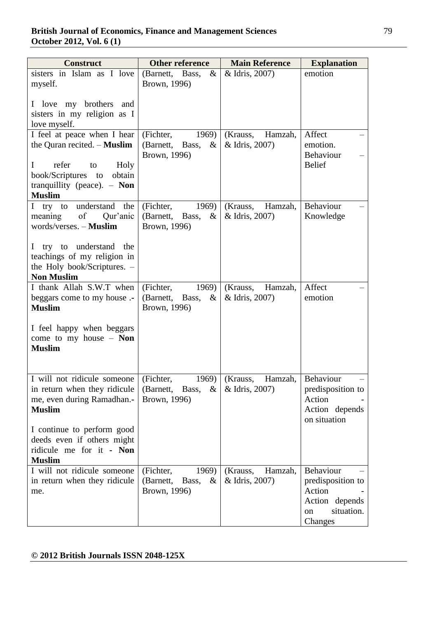| <b>Construct</b>                                            | <b>Other reference</b>                           | <b>Main Reference</b>                 | <b>Explanation</b>             |
|-------------------------------------------------------------|--------------------------------------------------|---------------------------------------|--------------------------------|
| sisters in Islam as I love                                  | (Barnett, Bass,<br>$\&$                          | & Idris, 2007)                        | emotion                        |
| myself.                                                     | Brown, 1996)                                     |                                       |                                |
| I love my brothers                                          |                                                  |                                       |                                |
| and<br>sisters in my religion as I                          |                                                  |                                       |                                |
| love myself.                                                |                                                  |                                       |                                |
| I feel at peace when I hear                                 | (Fichter,<br>1969)                               | Hamzah,<br>(Krauss,                   | Affect                         |
| the Quran recited. - Muslim                                 | $\&$<br>(Barnett, Bass,                          | & Idris, 2007)                        | emotion.                       |
|                                                             | Brown, 1996)                                     |                                       | Behaviour                      |
| refer<br>$\bf{I}$<br>Holy<br>to                             |                                                  |                                       | <b>Belief</b>                  |
| book/Scriptures<br>obtain<br>to                             |                                                  |                                       |                                |
| tranquillity (peace). $-$ Non                               |                                                  |                                       |                                |
| <b>Muslim</b>                                               |                                                  |                                       |                                |
| understand the<br>I try to<br>of<br>meaning<br>Qur'anic     | (Fichter,<br>1969)<br>(Barnett, Bass,<br>$\&$    | (Krauss,<br>Hamzah,<br>& Idris, 2007) | Behaviour<br>Knowledge         |
| words/verses. - Muslim                                      | Brown, 1996)                                     |                                       |                                |
|                                                             |                                                  |                                       |                                |
| try to understand<br>the<br>L                               |                                                  |                                       |                                |
| teachings of my religion in                                 |                                                  |                                       |                                |
| the Holy book/Scriptures. -                                 |                                                  |                                       |                                |
| <b>Non Muslim</b>                                           |                                                  |                                       |                                |
| I thank Allah S.W.T when                                    | (Fichter,<br>1969)                               | Hamzah,<br>(Krauss,                   | Affect                         |
| beggars come to my house .-<br><b>Muslim</b>                | (Barnett, Bass,<br>$\&$<br>Brown, 1996)          | & Idris, 2007)                        | emotion                        |
|                                                             |                                                  |                                       |                                |
| I feel happy when beggars                                   |                                                  |                                       |                                |
| come to my house $-$ Non                                    |                                                  |                                       |                                |
| <b>Muslim</b>                                               |                                                  |                                       |                                |
|                                                             |                                                  |                                       |                                |
|                                                             |                                                  |                                       |                                |
| I will not ridicule someone<br>in return when they ridicule | (Fichter,<br>1969)<br>(Barnett, Bass,<br>&       | (Krauss,<br>Hamzah,<br>& Idris, 2007) | Behaviour<br>predisposition to |
| me, even during Ramadhan.-                                  | Brown, 1996)                                     |                                       | Action                         |
| <b>Muslim</b>                                               |                                                  |                                       | Action depends                 |
|                                                             |                                                  |                                       | on situation                   |
| I continue to perform good                                  |                                                  |                                       |                                |
| deeds even if others might                                  |                                                  |                                       |                                |
| ridicule me for it - Non                                    |                                                  |                                       |                                |
| <b>Muslim</b>                                               |                                                  |                                       |                                |
| I will not ridicule someone<br>in return when they ridicule | (Fichter,<br>1969)<br>(Barnett,<br>Bass,<br>$\&$ | (Krauss,<br>Hamzah,<br>& Idris, 2007) | Behaviour<br>predisposition to |
| me.                                                         | Brown, 1996)                                     |                                       | Action                         |
|                                                             |                                                  |                                       | Action depends                 |
|                                                             |                                                  |                                       | situation.<br>on               |
|                                                             |                                                  |                                       | Changes                        |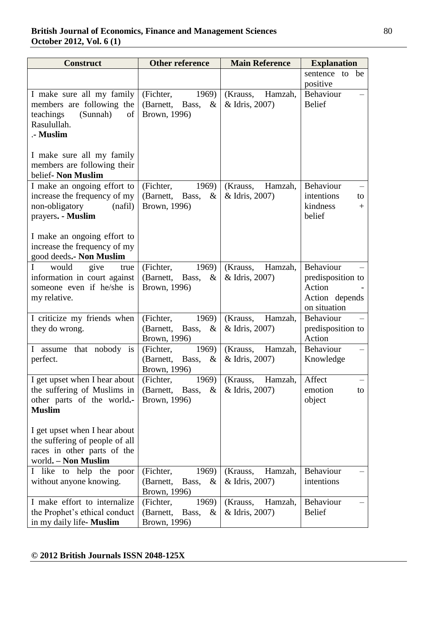| <b>Construct</b>                                                                                                                                                             | <b>Other reference</b><br><b>Main Reference</b>                  |                                       | <b>Explanation</b>                                                         |  |
|------------------------------------------------------------------------------------------------------------------------------------------------------------------------------|------------------------------------------------------------------|---------------------------------------|----------------------------------------------------------------------------|--|
|                                                                                                                                                                              |                                                                  |                                       | sentence to be                                                             |  |
|                                                                                                                                                                              |                                                                  |                                       | positive                                                                   |  |
| I make sure all my family<br>members are following the<br>teachings<br>(Sunnah)<br>of<br>Rasulullah.<br>.- Muslim                                                            | 1969)<br>(Fichter,<br>(Barnett,<br>Bass,<br>$\&$<br>Brown, 1996) | (Krauss,<br>Hamzah,<br>& Idris, 2007) | Behaviour<br><b>Belief</b>                                                 |  |
| I make sure all my family<br>members are following their<br>belief- Non Muslim                                                                                               |                                                                  |                                       |                                                                            |  |
| I make an ongoing effort to<br>increase the frequency of my<br>non-obligatory<br>(nafil)<br>prayers. - Muslim<br>I make an ongoing effort to<br>increase the frequency of my | (Fichter,<br>1969)<br>(Barnett, Bass,<br>$\&$<br>Brown, 1996)    | (Krauss,<br>Hamzah,<br>& Idris, 2007) | Behaviour<br>intentions<br>to<br>kindness<br>$+$<br>belief                 |  |
| good deeds.- Non Muslim                                                                                                                                                      |                                                                  |                                       |                                                                            |  |
| Ι<br>would<br>give<br>true<br>information in court against<br>someone even if he/she is<br>my relative.                                                                      | (Fichter,<br>1969)<br>(Barnett,<br>Bass,<br>$\&$<br>Brown, 1996) | (Krauss,<br>Hamzah,<br>& Idris, 2007) | Behaviour<br>predisposition to<br>Action<br>Action depends<br>on situation |  |
| I criticize my friends when<br>they do wrong.                                                                                                                                | (Fichter,<br>1969)<br>(Barnett, Bass,<br>$\&$<br>Brown, 1996)    | (Krauss,<br>Hamzah,<br>& Idris, 2007) | Behaviour<br>predisposition to<br>Action                                   |  |
| that nobody is<br>L<br>assume<br>perfect.                                                                                                                                    | (Fichter,<br>1969)<br>(Barnett, Bass,<br>$\&$<br>Brown, 1996)    | (Krauss,<br>Hamzah,<br>& Idris, 2007) | Behaviour<br>Knowledge                                                     |  |
| I get upset when I hear about<br>the suffering of Muslims in<br>other parts of the world.-<br><b>Muslim</b><br>I get upset when I hear about                                 | 1969)<br>(Fichter,<br>(Barnett, Bass,<br>$\&$<br>Brown, 1996)    | (Krauss,<br>Hamzah,<br>& Idris, 2007) | Affect<br>emotion<br>to<br>object                                          |  |
| the suffering of people of all<br>races in other parts of the<br>world. - Non Muslim                                                                                         |                                                                  |                                       |                                                                            |  |
| I like to help the poor<br>without anyone knowing.                                                                                                                           | 1969)<br>(Fichter,<br>(Barnett,<br>Bass,<br>$\&$<br>Brown, 1996) | (Krauss,<br>Hamzah,<br>& Idris, 2007) | Behaviour<br>intentions                                                    |  |
| I make effort to internalize<br>the Prophet's ethical conduct<br>in my daily life- Muslim                                                                                    | (Fichter,<br>1969)<br>(Barnett,<br>Bass,<br>$\&$<br>Brown, 1996) | (Krauss,<br>Hamzah,<br>& Idris, 2007) | Behaviour<br><b>Belief</b>                                                 |  |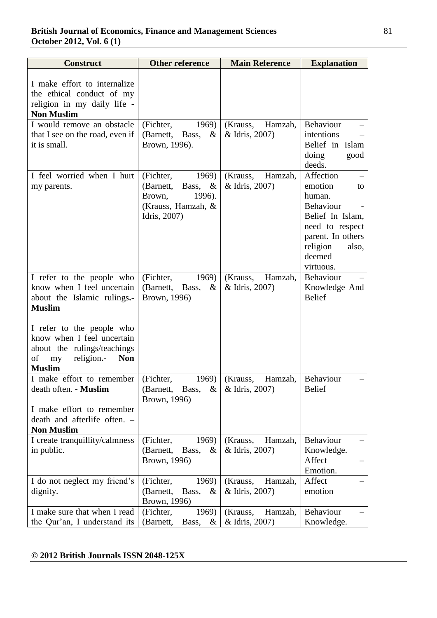| <b>Construct</b>                                                                                                                                                   | <b>Other reference</b>                                                                                  | <b>Main Reference</b>                 | <b>Explanation</b>                                                                                                                                        |
|--------------------------------------------------------------------------------------------------------------------------------------------------------------------|---------------------------------------------------------------------------------------------------------|---------------------------------------|-----------------------------------------------------------------------------------------------------------------------------------------------------------|
| I make effort to internalize<br>the ethical conduct of my<br>religion in my daily life -<br><b>Non Muslim</b>                                                      |                                                                                                         |                                       |                                                                                                                                                           |
| I would remove an obstacle<br>that I see on the road, even if<br>it is small.                                                                                      | (Fichter,<br>1969)<br>(Barnett, Bass,<br>$\&$<br>Brown, 1996).                                          | (Krauss,<br>Hamzah,<br>& Idris, 2007) | Behaviour<br>intentions<br>Belief in Islam<br>doing<br>good<br>deeds.                                                                                     |
| I feel worried when I hurt<br>my parents.                                                                                                                          | (Fichter,<br>1969)<br>(Barnett,<br>Bass, $\&$<br>Brown,<br>1996).<br>(Krauss, Hamzah, &<br>Idris, 2007) | (Krauss,<br>Hamzah,<br>& Idris, 2007) | Affection<br>emotion<br>to<br>human.<br>Behaviour<br>Belief In Islam,<br>need to respect<br>parent. In others<br>religion<br>also,<br>deemed<br>virtuous. |
| I refer to the people who<br>know when I feel uncertain<br>about the Islamic rulings.-<br><b>Muslim</b><br>I refer to the people who<br>know when I feel uncertain | (Fichter,<br>1969)<br>(Barnett, Bass,<br>$\&$<br>Brown, 1996)                                           | (Krauss,<br>Hamzah,<br>& Idris, 2007) | <b>Behaviour</b><br>Knowledge And<br><b>Belief</b>                                                                                                        |
| about the rulings/teachings<br>of<br>religion.-<br><b>Non</b><br>my<br><b>Muslim</b>                                                                               |                                                                                                         |                                       |                                                                                                                                                           |
| I make effort to remember<br>death often. - Muslim<br>I make effort to remember<br>death and afterlife often. -<br><b>Non Muslim</b>                               | (Fichter,<br>1969)<br>(Barnett,<br>$\&$<br>Bass,<br>Brown, 1996)                                        | (Krauss,<br>Hamzah,<br>& Idris, 2007) | Behaviour<br><b>Belief</b>                                                                                                                                |
| I create tranquillity/calmness<br>in public.                                                                                                                       | (Fichter,<br>1969)<br>(Barnett,<br>Bass,<br>&<br>Brown, 1996)                                           | (Krauss,<br>Hamzah,<br>& Idris, 2007) | Behaviour<br>Knowledge.<br>Affect<br>Emotion.                                                                                                             |
| I do not neglect my friend's<br>dignity.                                                                                                                           | (Fichter,<br>1969)<br>(Barnett,<br>Bass,<br>$\&$<br>Brown, 1996)                                        | Hamzah,<br>(Krauss,<br>& Idris, 2007) | Affect<br>emotion                                                                                                                                         |
| I make sure that when I read<br>the Qur'an, I understand its                                                                                                       | (Fichter,<br>1969)<br>(Barnett,<br>Bass,<br>$\&$                                                        | (Krauss,<br>Hamzah,<br>& Idris, 2007) | Behaviour<br>Knowledge.                                                                                                                                   |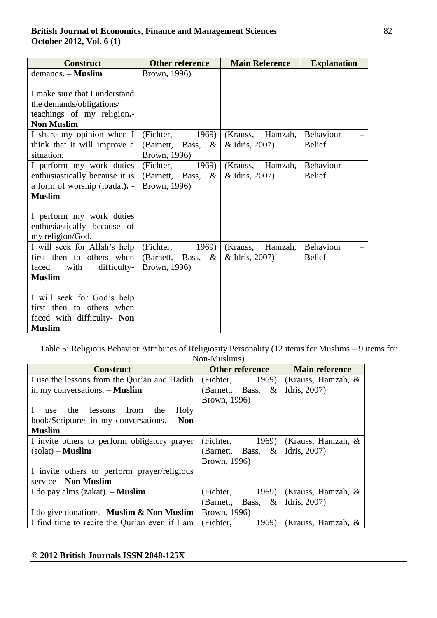| <b>Construct</b>               | <b>Other reference</b>  | <b>Main Reference</b> | <b>Explanation</b> |
|--------------------------------|-------------------------|-----------------------|--------------------|
| $d$ emands. $-$ <b>Muslim</b>  | Brown, 1996)            |                       |                    |
|                                |                         |                       |                    |
| I make sure that I understand  |                         |                       |                    |
| the demands/obligations/       |                         |                       |                    |
| teachings of my religion.-     |                         |                       |                    |
| <b>Non Muslim</b>              |                         |                       |                    |
| I share my opinion when I      | (Fichter,<br>1969)      | Hamzah,<br>(Krauss,   | Behaviour          |
| think that it will improve a   | (Barnett, Bass, $\&$    | & Idris, 2007)        | <b>Belief</b>      |
| situation.                     | Brown, 1996)            |                       |                    |
| I perform my work duties       | (Fichter,<br>1969)      | Hamzah,<br>(Krauss,   | Behaviour          |
| enthusiastically because it is | (Barnett, Bass,<br>$\&$ | & Idris, 2007)        | <b>Belief</b>      |
| a form of worship (ibadat). -  | Brown, 1996)            |                       |                    |
| <b>Muslim</b>                  |                         |                       |                    |
|                                |                         |                       |                    |
| I perform my work duties       |                         |                       |                    |
| enthusiastically because of    |                         |                       |                    |
| my religion/God.               |                         |                       |                    |
| I will seek for Allah's help   | (Fichter,<br>1969)      | Hamzah,<br>(Krauss,   | Behaviour          |
| first then to others when      | (Barnett, Bass,<br>$\&$ | & Idris, 2007)        | <b>Belief</b>      |
| difficulty-<br>faced<br>with   | Brown, 1996)            |                       |                    |
| <b>Muslim</b>                  |                         |                       |                    |
|                                |                         |                       |                    |
| I will seek for God's help     |                         |                       |                    |
| first then to others when      |                         |                       |                    |
| faced with difficulty- Non     |                         |                       |                    |
| <b>Muslim</b>                  |                         |                       |                    |

Table 5: Religious Behavior Attributes of Religiosity Personality (12 items for Muslims – 9 items for Non-Muslims)

| <b>Construct</b>                              | Other reference         | <b>Main reference</b> |
|-----------------------------------------------|-------------------------|-----------------------|
| I use the lessons from the Qur'an and Hadith  | (Fichter,<br>1969)      | (Krauss, Hamzah, $\&$ |
| in my conversations. - Muslim                 | (Barnett, Bass,<br>&    | Idris, 2007)          |
|                                               | Brown, 1996)            |                       |
| Holy<br>lessons<br>the<br>from<br>the<br>use  |                         |                       |
| book/Scriptures in my conversations. $-$ Non  |                         |                       |
| <b>Muslim</b>                                 |                         |                       |
| I invite others to perform obligatory prayer  | (Fichter,<br>1969)      | (Krauss, Hamzah, $\&$ |
| $(solat)$ – Muslim                            | (Barnett, Bass, $\&$    | Idris, 2007)          |
|                                               | Brown, 1996)            |                       |
| I invite others to perform prayer/religious   |                         |                       |
| $s$ ervice – Non Muslim                       |                         |                       |
| I do pay alms $(zakat)$ . – <b>Muslim</b>     | 1969<br>(Fichter,       | (Krauss, Hamzah, $\&$ |
|                                               | (Barnett, Bass,<br>$\&$ | Idris, 2007)          |
| I do give donations. Muslim & Non Muslim      | Brown, 1996)            |                       |
| I find time to recite the Qur'an even if I am | (Fichter,<br>1969)      | (Krauss, Hamzah, $\&$ |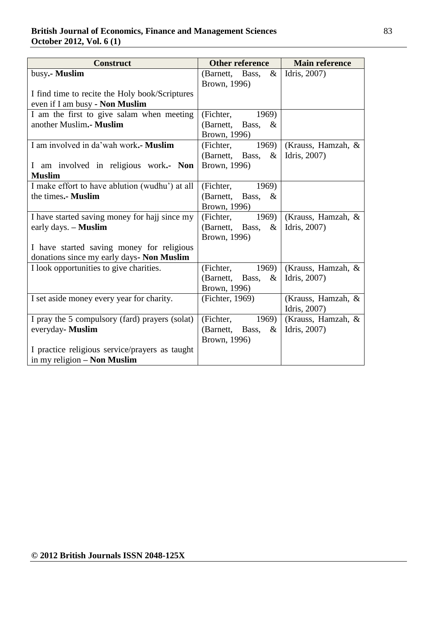# **British Journal of Economics, Finance and Management Sciences** 83 **October 2012, Vol. 6 (1)**

| <b>Construct</b>                               | <b>Other reference</b>     | <b>Main reference</b> |
|------------------------------------------------|----------------------------|-----------------------|
| busy.- Muslim                                  | (Barnett, Bass,<br>$\&$    | Idris, 2007)          |
|                                                | Brown, 1996)               |                       |
| I find time to recite the Holy book/Scriptures |                            |                       |
| even if I am busy - Non Muslim                 |                            |                       |
| I am the first to give salam when meeting      | (Fichter, 1969)            |                       |
| another Muslim.- Muslim                        | (Barnett, Bass,<br>$\&$    |                       |
|                                                | Brown, 1996)               |                       |
| I am involved in da'wah work.- Muslim          | (Fichter,<br>1969)         | (Krauss, Hamzah, &    |
|                                                | (Barnett, Bass,<br>$\&$    | Idris, 2007)          |
| I am involved in religious work.- Non          | Brown, 1996)               |                       |
| <b>Muslim</b>                                  |                            |                       |
| I make effort to have ablution (wudhu') at all | (Fichter,<br>1969)         |                       |
| the times.- Muslim                             | (Barnett, Bass, $\&$       |                       |
|                                                | Brown, 1996)               |                       |
| I have started saving money for hajj since my  | (Fichter,<br>1969)         | (Krauss, Hamzah, &    |
| early days. - <b>Muslim</b>                    | (Barnett, Bass,<br>&       | Idris, 2007)          |
|                                                | Brown, 1996)               |                       |
| I have started saving money for religious      |                            |                       |
| donations since my early days- Non Muslim      |                            |                       |
| I look opportunities to give charities.        | 1969)<br>(Fichter,         | (Krauss, Hamzah, &    |
|                                                | $\&$<br>(Barnett,<br>Bass, | Idris, 2007)          |
|                                                | Brown, 1996)               |                       |
| I set aside money every year for charity.      | (Fichter, 1969)            | (Krauss, Hamzah, &    |
|                                                |                            | Idris, 2007)          |
| I pray the 5 compulsory (fard) prayers (solat) | (Fichter,<br>1969)         | (Krauss, Hamzah, &    |
| everyday- Muslim                               | (Barnett, Bass,<br>$\&$    | Idris, 2007)          |
|                                                | Brown, 1996)               |                       |
| I practice religious service/prayers as taught |                            |                       |
| in my religion - Non Muslim                    |                            |                       |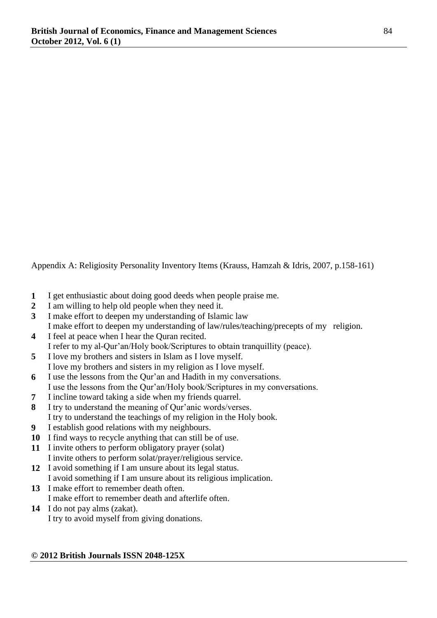Appendix A: Religiosity Personality Inventory Items (Krauss, Hamzah & Idris, 2007, p.158-161)

- **1** I get enthusiastic about doing good deeds when people praise me.
- **2** I am willing to help old people when they need it.
- **3** I make effort to deepen my understanding of Islamic law I make effort to deepen my understanding of law/rules/teaching/precepts of my religion.
- **4** I feel at peace when I hear the Quran recited. I refer to my al-Qur"an/Holy book/Scriptures to obtain tranquillity (peace).
- **5** I love my brothers and sisters in Islam as I love myself. I love my brothers and sisters in my religion as I love myself.
- **6** I use the lessons from the Qur"an and Hadith in my conversations. I use the lessons from the Qur"an/Holy book/Scriptures in my conversations.
- **7** I incline toward taking a side when my friends quarrel.
- **8** I try to understand the meaning of Qur"anic words/verses. I try to understand the teachings of my religion in the Holy book.
- **9** I establish good relations with my neighbours.
- **10** I find ways to recycle anything that can still be of use.
- **11** I invite others to perform obligatory prayer (solat) I invite others to perform solat/prayer/religious service.
- **12** I avoid something if I am unsure about its legal status. I avoid something if I am unsure about its religious implication.
- **13** I make effort to remember death often. I make effort to remember death and afterlife often.
- **14** I do not pay alms (zakat).

I try to avoid myself from giving donations.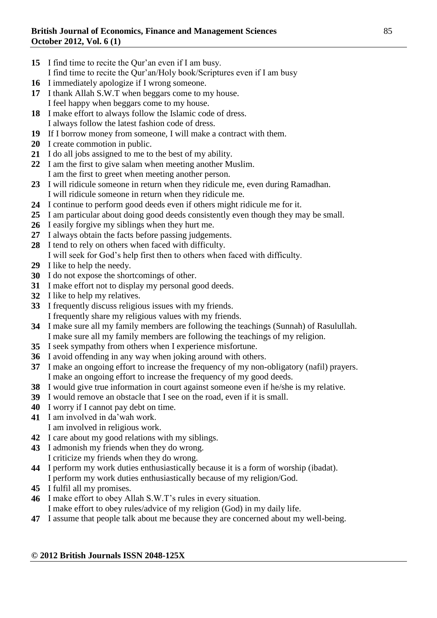- I find time to recite the Our'an even if I am busy.
- I find time to recite the Qur"an/Holy book/Scriptures even if I am busy
- I immediately apologize if I wrong someone.
- I thank Allah S.W.T when beggars come to my house. I feel happy when beggars come to my house.
- I make effort to always follow the Islamic code of dress. I always follow the latest fashion code of dress.
- If I borrow money from someone, I will make a contract with them.
- I create commotion in public.
- I do all jobs assigned to me to the best of my ability.
- I am the first to give salam when meeting another Muslim. I am the first to greet when meeting another person.
- I will ridicule someone in return when they ridicule me, even during Ramadhan. I will ridicule someone in return when they ridicule me.
- I continue to perform good deeds even if others might ridicule me for it.
- I am particular about doing good deeds consistently even though they may be small.
- I easily forgive my siblings when they hurt me.
- I always obtain the facts before passing judgements.
- I tend to rely on others when faced with difficulty.
- I will seek for God"s help first then to others when faced with difficulty.
- I like to help the needy.
- I do not expose the shortcomings of other.
- I make effort not to display my personal good deeds.
- I like to help my relatives.
- I frequently discuss religious issues with my friends. I frequently share my religious values with my friends.
- I make sure all my family members are following the teachings (Sunnah) of Rasulullah. I make sure all my family members are following the teachings of my religion.
- I seek sympathy from others when I experience misfortune.
- I avoid offending in any way when joking around with others.
- I make an ongoing effort to increase the frequency of my non-obligatory (nafil) prayers. I make an ongoing effort to increase the frequency of my good deeds.
- I would give true information in court against someone even if he/she is my relative.
- I would remove an obstacle that I see on the road, even if it is small.
- I worry if I cannot pay debt on time.
- I am involved in da"wah work. I am involved in religious work.
- I care about my good relations with my siblings.
- I admonish my friends when they do wrong.
- I criticize my friends when they do wrong.
- I perform my work duties enthusiastically because it is a form of worship (ibadat). I perform my work duties enthusiastically because of my religion/God.
- I fulfil all my promises.
- I make effort to obey Allah S.W.T"s rules in every situation.
- I make effort to obey rules/advice of my religion (God) in my daily life.
- I assume that people talk about me because they are concerned about my well-being.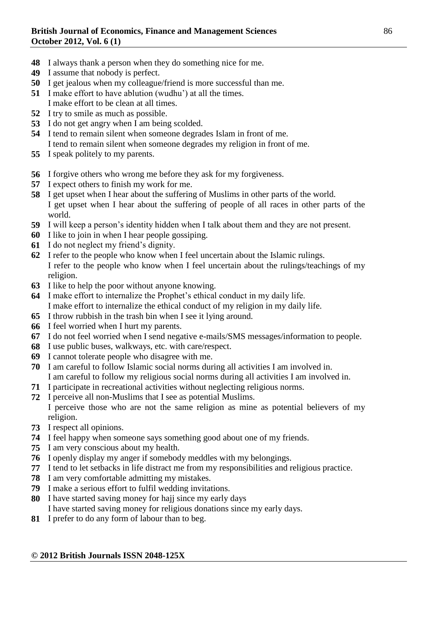- I always thank a person when they do something nice for me.
- I assume that nobody is perfect.
- I get jealous when my colleague/friend is more successful than me.
- I make effort to have ablution (wudhu") at all the times.
- I make effort to be clean at all times.
- I try to smile as much as possible.
- I do not get angry when I am being scolded.
- I tend to remain silent when someone degrades Islam in front of me.
- I tend to remain silent when someone degrades my religion in front of me.
- I speak politely to my parents.
- I forgive others who wrong me before they ask for my forgiveness.
- I expect others to finish my work for me.
- I get upset when I hear about the suffering of Muslims in other parts of the world. I get upset when I hear about the suffering of people of all races in other parts of the world.
- I will keep a person"s identity hidden when I talk about them and they are not present.
- I like to join in when I hear people gossiping.
- I do not neglect my friend"s dignity.
- I refer to the people who know when I feel uncertain about the Islamic rulings. I refer to the people who know when I feel uncertain about the rulings/teachings of my religion.
- I like to help the poor without anyone knowing.
- I make effort to internalize the Prophet"s ethical conduct in my daily life. I make effort to internalize the ethical conduct of my religion in my daily life.
- I throw rubbish in the trash bin when I see it lying around.
- I feel worried when I hurt my parents.
- I do not feel worried when I send negative e-mails/SMS messages/information to people.
- I use public buses, walkways, etc. with care/respect.
- I cannot tolerate people who disagree with me.
- I am careful to follow Islamic social norms during all activities I am involved in. I am careful to follow my religious social norms during all activities I am involved in.
- I participate in recreational activities without neglecting religious norms.
- I perceive all non-Muslims that I see as potential Muslims. I perceive those who are not the same religion as mine as potential believers of my religion.
- I respect all opinions.
- I feel happy when someone says something good about one of my friends.
- I am very conscious about my health.
- I openly display my anger if somebody meddles with my belongings.
- I tend to let setbacks in life distract me from my responsibilities and religious practice.
- I am very comfortable admitting my mistakes.
- I make a serious effort to fulfil wedding invitations.
- I have started saving money for hajj since my early days I have started saving money for religious donations since my early days.
- I prefer to do any form of labour than to beg.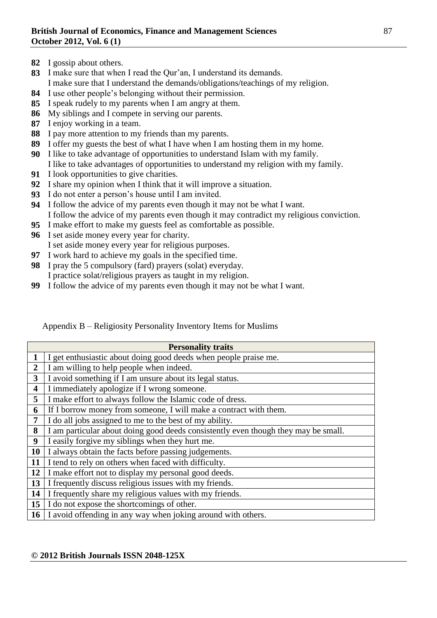- I gossip about others.
- I make sure that when I read the Qur"an, I understand its demands. I make sure that I understand the demands/obligations/teachings of my religion.
- I use other people"s belonging without their permission.
- I speak rudely to my parents when I am angry at them.
- My siblings and I compete in serving our parents.
- I enjoy working in a team.
- I pay more attention to my friends than my parents.
- I offer my guests the best of what I have when I am hosting them in my home.
- I like to take advantage of opportunities to understand Islam with my family. I like to take advantages of opportunities to understand my religion with my family.
- I look opportunities to give charities.
- I share my opinion when I think that it will improve a situation.
- I do not enter a person"s house until I am invited.
- I follow the advice of my parents even though it may not be what I want. I follow the advice of my parents even though it may contradict my religious conviction.
- I make effort to make my guests feel as comfortable as possible.
- I set aside money every year for charity.
	- I set aside money every year for religious purposes.
- I work hard to achieve my goals in the specified time.
- I pray the 5 compulsory (fard) prayers (solat) everyday. I practice solat/religious prayers as taught in my religion.
- I follow the advice of my parents even though it may not be what I want.

| Appendix B – Religiosity Personality Inventory Items for Muslims |  |  |  |
|------------------------------------------------------------------|--|--|--|
|                                                                  |  |  |  |

|                | <b>Personality traits</b>                                                          |
|----------------|------------------------------------------------------------------------------------|
|                | I get enthusiastic about doing good deeds when people praise me.                   |
| $\overline{2}$ | I am willing to help people when indeed.                                           |
| 3              | I avoid something if I am unsure about its legal status.                           |
| 4              | I immediately apologize if I wrong someone.                                        |
| 5              | I make effort to always follow the Islamic code of dress.                          |
| 6              | If I borrow money from someone, I will make a contract with them.                  |
| $\overline{7}$ | I do all jobs assigned to me to the best of my ability.                            |
| 8              | I am particular about doing good deeds consistently even though they may be small. |
| 9              | I easily forgive my siblings when they hurt me.                                    |
| 10             | I always obtain the facts before passing judgements.                               |
| 11             | I tend to rely on others when faced with difficulty.                               |
| 12             | I make effort not to display my personal good deeds.                               |
| 13             | I frequently discuss religious issues with my friends.                             |
| 14             | I frequently share my religious values with my friends.                            |
| 15             | I do not expose the shortcomings of other.                                         |
| 16             | I avoid offending in any way when joking around with others.                       |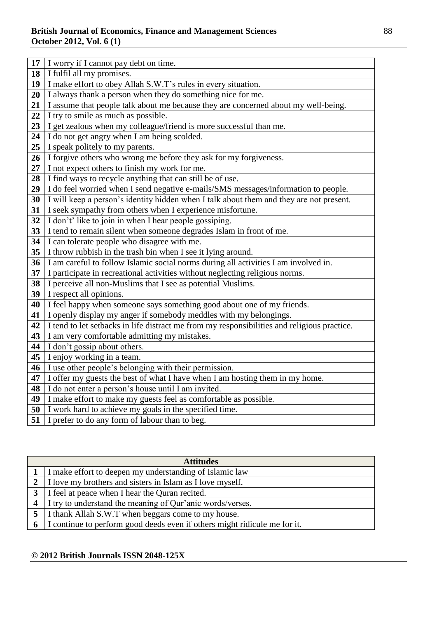| 17 | I worry if I cannot pay debt on time.                                                       |
|----|---------------------------------------------------------------------------------------------|
| 18 | I fulfil all my promises.                                                                   |
| 19 | I make effort to obey Allah S.W.T's rules in every situation.                               |
| 20 | I always thank a person when they do something nice for me.                                 |
| 21 | I assume that people talk about me because they are concerned about my well-being.          |
| 22 | I try to smile as much as possible.                                                         |
| 23 | I get zealous when my colleague/friend is more successful than me.                          |
| 24 | I do not get angry when I am being scolded.                                                 |
| 25 | I speak politely to my parents.                                                             |
| 26 | I forgive others who wrong me before they ask for my forgiveness.                           |
| 27 | I not expect others to finish my work for me.                                               |
| 28 | I find ways to recycle anything that can still be of use.                                   |
| 29 | I do feel worried when I send negative e-mails/SMS messages/information to people.          |
| 30 | I will keep a person's identity hidden when I talk about them and they are not present.     |
| 31 | I seek sympathy from others when I experience misfortune.                                   |
| 32 | I don't' like to join in when I hear people gossiping.                                      |
| 33 | I tend to remain silent when someone degrades Islam in front of me.                         |
| 34 | I can tolerate people who disagree with me.                                                 |
| 35 | I throw rubbish in the trash bin when I see it lying around.                                |
| 36 | I am careful to follow Islamic social norms during all activities I am involved in.         |
| 37 | I participate in recreational activities without neglecting religious norms.                |
| 38 | I perceive all non-Muslims that I see as potential Muslims.                                 |
| 39 | I respect all opinions.                                                                     |
| 40 | I feel happy when someone says something good about one of my friends.                      |
| 41 | I openly display my anger if somebody meddles with my belongings.                           |
| 42 | I tend to let setbacks in life distract me from my responsibilities and religious practice. |
| 43 | I am very comfortable admitting my mistakes.                                                |
| 44 | I don't gossip about others.                                                                |
| 45 | I enjoy working in a team.                                                                  |
| 46 | I use other people's belonging with their permission.                                       |
| 47 | I offer my guests the best of what I have when I am hosting them in my home.                |
| 48 | I do not enter a person's house until I am invited.                                         |
| 49 | I make effort to make my guests feel as comfortable as possible.                            |
| 50 | I work hard to achieve my goals in the specified time.                                      |
| 51 | I prefer to do any form of labour than to beg.                                              |

|                | <b>Attitudes</b>                                                          |
|----------------|---------------------------------------------------------------------------|
|                | I make effort to deepen my understanding of Islamic law                   |
|                | I love my brothers and sisters in Islam as I love myself.                 |
|                | I feel at peace when I hear the Quran recited.                            |
| $\overline{4}$ | I try to understand the meaning of Qur'anic words/verses.                 |
| 5 <sup>1</sup> | I thank Allah S.W.T when beggars come to my house.                        |
| 6              | I continue to perform good deeds even if others might ridicule me for it. |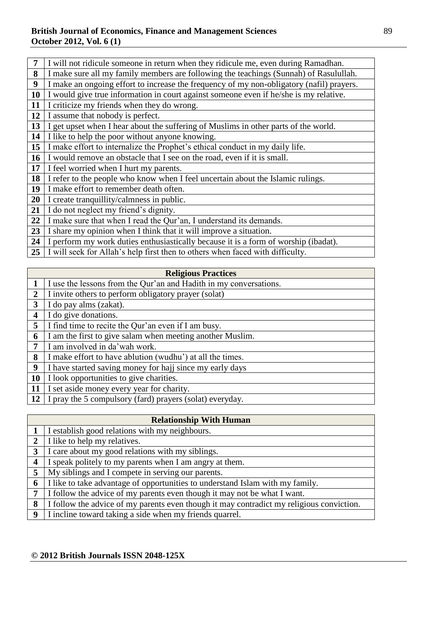## **British Journal of Economics, Finance and Management Sciences** 89 **October 2012, Vol. 6 (1)**

| $7\phantom{.0}$ | I will not ridicule someone in return when they ridicule me, even during Ramadhan.       |
|-----------------|------------------------------------------------------------------------------------------|
| 8               | I make sure all my family members are following the teachings (Sunnah) of Rasulullah.    |
| 9               | I make an ongoing effort to increase the frequency of my non-obligatory (nafil) prayers. |
| 10              | I would give true information in court against someone even if he/she is my relative.    |
| 11              | I criticize my friends when they do wrong.                                               |
| 12              | I assume that nobody is perfect.                                                         |
| 13              | I get upset when I hear about the suffering of Muslims in other parts of the world.      |
| 14              | I like to help the poor without anyone knowing.                                          |
| 15              | I make effort to internalize the Prophet's ethical conduct in my daily life.             |
| <b>16</b>       | I would remove an obstacle that I see on the road, even if it is small.                  |
| 17              | I feel worried when I hurt my parents.                                                   |
| 18              | I refer to the people who know when I feel uncertain about the Islamic rulings.          |
| 19              | I make effort to remember death often.                                                   |
| 20              | I create tranquillity/calmness in public.                                                |
| 21              | I do not neglect my friend's dignity.                                                    |
| 22              | I make sure that when I read the Qur'an, I understand its demands.                       |
| 23              | I share my opinion when I think that it will improve a situation.                        |
| 24              | I perform my work duties enthusiastically because it is a form of worship (ibadat).      |
|                 |                                                                                          |

I will seek for Allah's help first then to others when faced with difficulty.

|                | <b>Religious Practices</b>                                        |
|----------------|-------------------------------------------------------------------|
|                | I use the lessons from the Qur'an and Hadith in my conversations. |
| $\overline{2}$ | I invite others to perform obligatory prayer (solat)              |
| $\mathbf{3}$   | I do pay alms (zakat).                                            |
| 4              | I do give donations.                                              |
| 5              | I find time to recite the Qur'an even if I am busy.               |
| 6              | I am the first to give salam when meeting another Muslim.         |
| 7              | am involved in da'wah work.                                       |
| 8              | I make effort to have ablution (wudhu') at all the times.         |
| 9              | I have started saving money for hajj since my early days          |
| 10             | I look opportunities to give charities.                           |
| 11             | I set aside money every year for charity.                         |
| 12             | I pray the 5 compulsory (fard) prayers (solat) everyday.          |

| <b>Relationship With Human</b> |                                                                                          |  |
|--------------------------------|------------------------------------------------------------------------------------------|--|
|                                | I establish good relations with my neighbours.                                           |  |
| $\overline{2}$                 | I like to help my relatives.                                                             |  |
| 3                              | I care about my good relations with my siblings.                                         |  |
| $\boldsymbol{4}$               | I speak politely to my parents when I am angry at them.                                  |  |
| 5                              | My siblings and I compete in serving our parents.                                        |  |
| 6                              | I like to take advantage of opportunities to understand Islam with my family.            |  |
| 7                              | I follow the advice of my parents even though it may not be what I want.                 |  |
| 8                              | I follow the advice of my parents even though it may contradict my religious conviction. |  |
| 9                              | I incline toward taking a side when my friends quarrel.                                  |  |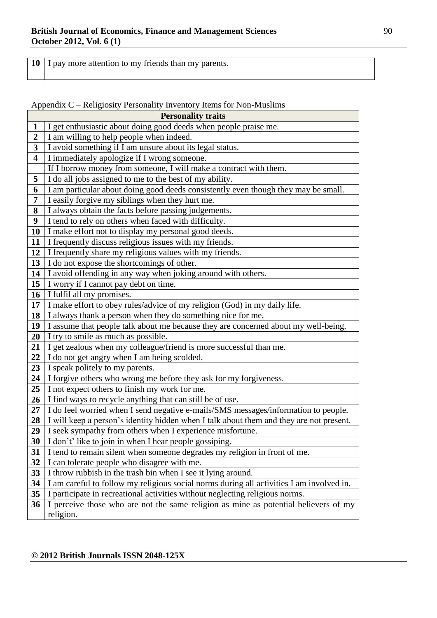I pay more attention to my friends than my parents.

Appendix C – Religiosity Personality Inventory Items for Non-Muslims

| <b>Personality traits</b> |                                                                                          |  |
|---------------------------|------------------------------------------------------------------------------------------|--|
| $\mathbf{1}$              | I get enthusiastic about doing good deeds when people praise me.                         |  |
| $\overline{\mathbf{2}}$   | I am willing to help people when indeed.                                                 |  |
| $\overline{\mathbf{3}}$   | I avoid something if I am unsure about its legal status.                                 |  |
| $\overline{\mathbf{4}}$   | I immediately apologize if I wrong someone.                                              |  |
|                           | If I borrow money from someone, I will make a contract with them.                        |  |
| 5                         | I do all jobs assigned to me to the best of my ability.                                  |  |
| 6                         | I am particular about doing good deeds consistently even though they may be small.       |  |
| 7                         | I easily forgive my siblings when they hurt me.                                          |  |
| 8                         | I always obtain the facts before passing judgements.                                     |  |
| 9                         | I tend to rely on others when faced with difficulty.                                     |  |
| 10                        | I make effort not to display my personal good deeds.                                     |  |
| 11                        | I frequently discuss religious issues with my friends.                                   |  |
| 12                        | I frequently share my religious values with my friends.                                  |  |
| 13                        | I do not expose the shortcomings of other.                                               |  |
| 14                        | I avoid offending in any way when joking around with others.                             |  |
| 15                        | I worry if I cannot pay debt on time.                                                    |  |
| 16                        | I fulfil all my promises.                                                                |  |
| 17                        | I make effort to obey rules/advice of my religion (God) in my daily life.                |  |
| 18                        | I always thank a person when they do something nice for me.                              |  |
| 19                        | I assume that people talk about me because they are concerned about my well-being.       |  |
| 20                        | I try to smile as much as possible.                                                      |  |
| 21                        | I get zealous when my colleague/friend is more successful than me.                       |  |
| 22                        | I do not get angry when I am being scolded.                                              |  |
| 23                        | I speak politely to my parents.                                                          |  |
| 24                        | I forgive others who wrong me before they ask for my forgiveness.                        |  |
| 25                        | I not expect others to finish my work for me.                                            |  |
| 26                        | I find ways to recycle anything that can still be of use.                                |  |
| 27                        | I do feel worried when I send negative e-mails/SMS messages/information to people.       |  |
| 28                        | I will keep a person's identity hidden when I talk about them and they are not present.  |  |
| 29                        | I seek sympathy from others when I experience misfortune.                                |  |
| 30                        | I don't' like to join in when I hear people gossiping.                                   |  |
| 31                        | I tend to remain silent when someone degrades my religion in front of me.                |  |
| 32                        | I can tolerate people who disagree with me.                                              |  |
| 33                        | I throw rubbish in the trash bin when I see it lying around.                             |  |
| 34                        | I am careful to follow my religious social norms during all activities I am involved in. |  |
| 35                        | I participate in recreational activities without neglecting religious norms.             |  |
| 36                        | I perceive those who are not the same religion as mine as potential believers of my      |  |
|                           | religion.                                                                                |  |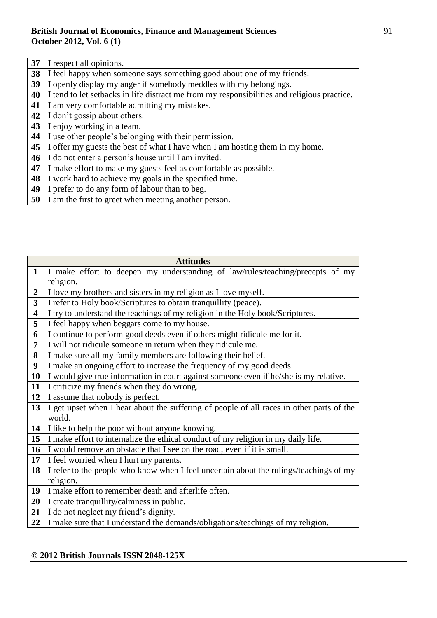| 37 | I respect all opinions.                                                                     |
|----|---------------------------------------------------------------------------------------------|
| 38 | I feel happy when someone says something good about one of my friends.                      |
| 39 | I openly display my anger if somebody meddles with my belongings.                           |
| 40 | I tend to let setbacks in life distract me from my responsibilities and religious practice. |
| 41 | I am very comfortable admitting my mistakes.                                                |
| 42 | I don't gossip about others.                                                                |
| 43 | I enjoy working in a team.                                                                  |
| 44 | I use other people's belonging with their permission.                                       |
| 45 | I offer my guests the best of what I have when I am hosting them in my home.                |
| 46 | I do not enter a person's house until I am invited.                                         |
| 47 | I make effort to make my guests feel as comfortable as possible.                            |
| 48 | I work hard to achieve my goals in the specified time.                                      |
| 49 | I prefer to do any form of labour than to beg.                                              |
| 50 | I am the first to greet when meeting another person.                                        |

| <b>Attitudes</b> |                                                                                          |  |
|------------------|------------------------------------------------------------------------------------------|--|
| $\mathbf{1}$     | I make effort to deepen my understanding of law/rules/teaching/precepts of my            |  |
|                  | religion.                                                                                |  |
| $\overline{2}$   | I love my brothers and sisters in my religion as I love myself.                          |  |
| 3                | I refer to Holy book/Scriptures to obtain tranquillity (peace).                          |  |
| 4                | I try to understand the teachings of my religion in the Holy book/Scriptures.            |  |
| 5                | I feel happy when beggars come to my house.                                              |  |
| 6                | I continue to perform good deeds even if others might ridicule me for it.                |  |
| 7                | I will not ridicule someone in return when they ridicule me.                             |  |
| 8                | I make sure all my family members are following their belief.                            |  |
| 9                | I make an ongoing effort to increase the frequency of my good deeds.                     |  |
| 10               | I would give true information in court against someone even if he/she is my relative.    |  |
| 11               | I criticize my friends when they do wrong.                                               |  |
| 12               | I assume that nobody is perfect.                                                         |  |
| 13               | I get upset when I hear about the suffering of people of all races in other parts of the |  |
|                  | world.                                                                                   |  |
| 14               | I like to help the poor without anyone knowing.                                          |  |
| 15               | I make effort to internalize the ethical conduct of my religion in my daily life.        |  |
| 16               | I would remove an obstacle that I see on the road, even if it is small.                  |  |
| 17               | I feel worried when I hurt my parents.                                                   |  |
| 18               | I refer to the people who know when I feel uncertain about the rulings/teachings of my   |  |
|                  | religion.                                                                                |  |
| 19               | I make effort to remember death and afterlife often.                                     |  |
| 20               | I create tranquillity/calmness in public.                                                |  |
| 21               | I do not neglect my friend's dignity.                                                    |  |
| 22               | I make sure that I understand the demands/obligations/teachings of my religion.          |  |